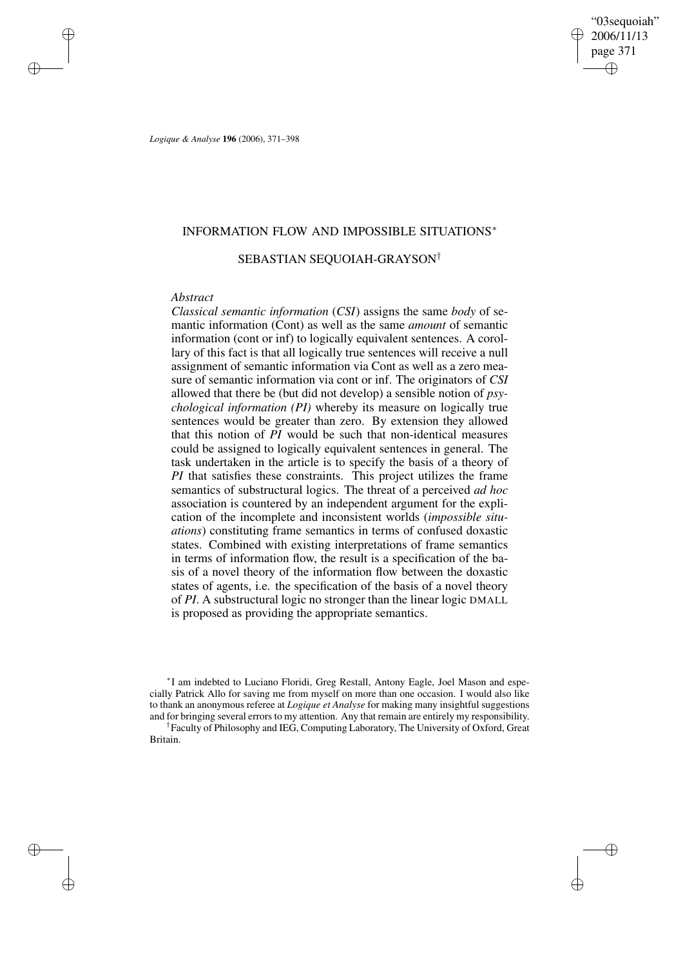"03sequoiah" 2006/11/13 page 371 ✐ ✐

✐

✐

*Logique & Analyse* **196** (2006), 371–398

# INFORMATION FLOW AND IMPOSSIBLE SITUATIONS<sup>∗</sup>

# SEBASTIAN SEQUOIAH-GRAYSON†

## *Abstract*

✐

✐

✐

✐

*Classical semantic information* (*CSI*) assigns the same *body* of semantic information (Cont) as well as the same *amount* of semantic information (cont or inf) to logically equivalent sentences. A corollary of this fact is that all logically true sentences will receive a null assignment of semantic information via Cont as well as a zero measure of semantic information via cont or inf. The originators of *CSI* allowed that there be (but did not develop) a sensible notion of *psychological information (PI)* whereby its measure on logically true sentences would be greater than zero. By extension they allowed that this notion of *PI* would be such that non-identical measures could be assigned to logically equivalent sentences in general. The task undertaken in the article is to specify the basis of a theory of *PI* that satisfies these constraints. This project utilizes the frame semantics of substructural logics. The threat of a perceived *ad hoc* association is countered by an independent argument for the explication of the incomplete and inconsistent worlds (*impossible situations*) constituting frame semantics in terms of confused doxastic states. Combined with existing interpretations of frame semantics in terms of information flow, the result is a specification of the basis of a novel theory of the information flow between the doxastic states of agents, i.e. the specification of the basis of a novel theory of *PI*. A substructural logic no stronger than the linear logic DMALL is proposed as providing the appropriate semantics.

∗ I am indebted to Luciano Floridi, Greg Restall, Antony Eagle, Joel Mason and especially Patrick Allo for saving me from myself on more than one occasion. I would also like to thank an anonymous referee at *Logique et Analyse* for making many insightful suggestions and for bringing several errors to my attention. Any that remain are entirely my responsibility. † Faculty of Philosophy and IEG, Computing Laboratory, The University of Oxford, Great Britain.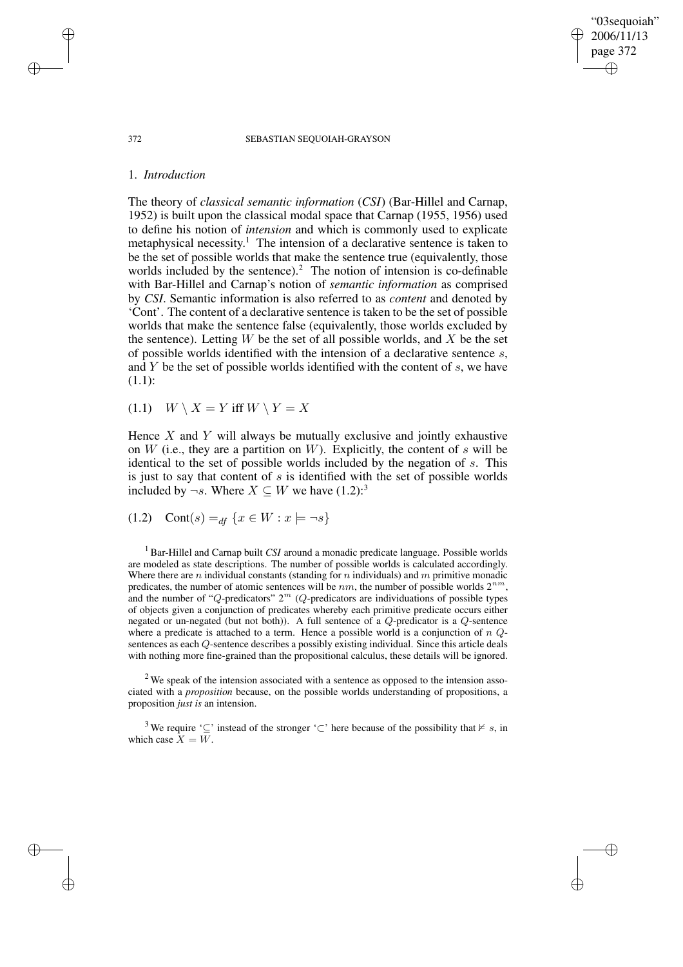372 SEBASTIAN SEQUOIAH-GRAYSON

"03sequoiah" 2006/11/13 page 372

✐

✐

✐

✐

## 1. *Introduction*

The theory of *classical semantic information* (*CSI*) (Bar-Hillel and Carnap, 1952) is built upon the classical modal space that Carnap (1955, 1956) used to define his notion of *intension* and which is commonly used to explicate metaphysical necessity.<sup>1</sup> The intension of a declarative sentence is taken to be the set of possible worlds that make the sentence true (equivalently, those worlds included by the sentence).<sup>2</sup> The notion of intension is co-definable with Bar-Hillel and Carnap's notion of *semantic information* as comprised by *CSI*. Semantic information is also referred to as *content* and denoted by 'Cont'. The content of a declarative sentence is taken to be the set of possible worlds that make the sentence false (equivalently, those worlds excluded by the sentence). Letting  $W$  be the set of all possible worlds, and  $X$  be the set of possible worlds identified with the intension of a declarative sentence s, and  $Y$  be the set of possible worlds identified with the content of  $s$ , we have (1.1):

(1.1)  $W \setminus X = Y$  iff  $W \setminus Y = X$ 

Hence  $X$  and  $Y$  will always be mutually exclusive and jointly exhaustive on  $W$  (i.e., they are a partition on  $W$ ). Explicitly, the content of  $s$  will be identical to the set of possible worlds included by the negation of s. This is just to say that content of  $s$  is identified with the set of possible worlds included by  $\neg s$ . Where  $X \subseteq W$  we have  $(1.2)$ :<sup>3</sup>

(1.2) Cont(s) =  $df\{x \in W : x \models \neg s\}$ 

<sup>1</sup> Bar-Hillel and Carnap built *CSI* around a monadic predicate language. Possible worlds are modeled as state descriptions. The number of possible worlds is calculated accordingly. Where there are n individual constants (standing for n individuals) and  $m$  primitive monadic predicates, the number of atomic sentences will be  $nm$ , the number of possible worlds  $2^{nm}$ , and the number of "Q-predicators"  $2^m$  (Q-predicators are individuations of possible types of objects given a conjunction of predicates whereby each primitive predicate occurs either negated or un-negated (but not both)). A full sentence of a Q-predicator is a Q-sentence where a predicate is attached to a term. Hence a possible world is a conjunction of  $nQ$ sentences as each Q-sentence describes a possibly existing individual. Since this article deals with nothing more fine-grained than the propositional calculus, these details will be ignored.

 $2$  We speak of the intension associated with a sentence as opposed to the intension associated with a *proposition* because, on the possible worlds understanding of propositions, a proposition *just is* an intension.

<sup>3</sup> We require ' $\subseteq$ ' instead of the stronger ' $\subseteq$ ' here because of the possibility that  $\nvdash s$ , in which case  $X = W$ .

✐

✐

✐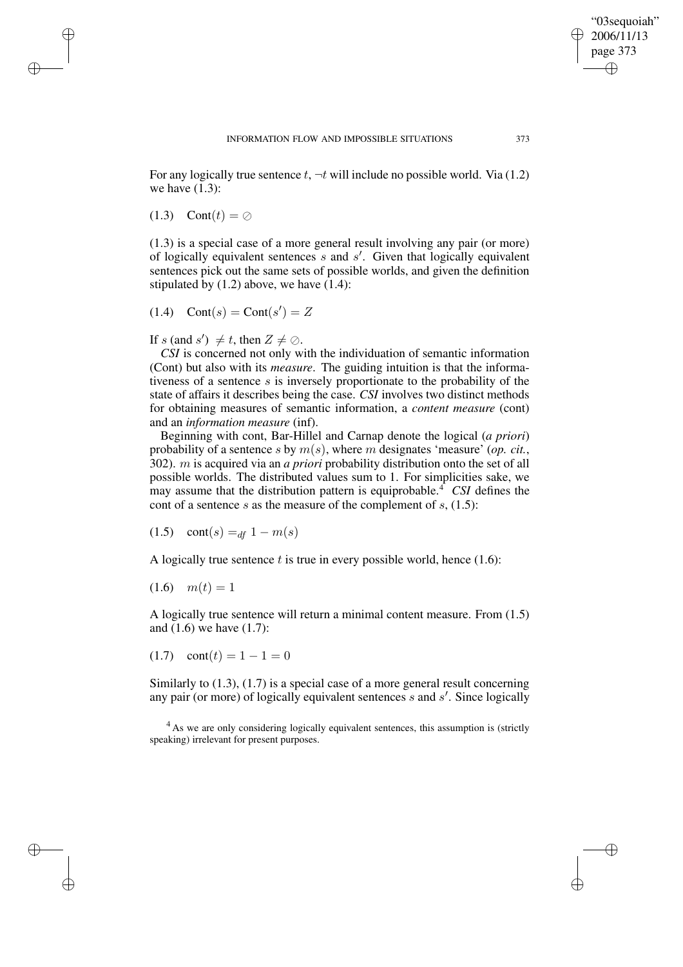For any logically true sentence t,  $\neg t$  will include no possible world. Via (1.2) we have  $(1.3)$ :

 $(1.3)$  Cont $(t) = \emptyset$ 

✐

✐

✐

✐

(1.3) is a special case of a more general result involving any pair (or more) of logically equivalent sentences  $s$  and  $s'$ . Given that logically equivalent sentences pick out the same sets of possible worlds, and given the definition stipulated by  $(1.2)$  above, we have  $(1.4)$ :

$$
(1.4) \quad \text{Cont}(s) = \text{Cont}(s') = Z
$$

If s (and s')  $\neq t$ , then  $Z \neq \emptyset$ .

*CSI* is concerned not only with the individuation of semantic information (Cont) but also with its *measure*. The guiding intuition is that the informativeness of a sentence  $s$  is inversely proportionate to the probability of the state of affairs it describes being the case. *CSI* involves two distinct methods for obtaining measures of semantic information, a *content measure* (cont) and an *information measure* (inf).

Beginning with cont, Bar-Hillel and Carnap denote the logical (*a priori*) probability of a sentence s by  $m(s)$ , where m designates 'measure' (*op. cit.*, 302). m is acquired via an *a priori* probability distribution onto the set of all possible worlds. The distributed values sum to 1. For simplicities sake, we may assume that the distribution pattern is equiprobable.<sup>4</sup> *CSI* defines the cont of a sentence s as the measure of the complement of  $s$ , (1.5):

$$
(1.5) \quad \text{cont}(s) =_{df} 1 - m(s)
$$

A logically true sentence  $t$  is true in every possible world, hence  $(1.6)$ :

$$
(1.6) \quad m(t) = 1
$$

A logically true sentence will return a minimal content measure. From (1.5) and (1.6) we have (1.7):

 $(1.7)$  cont $(t) = 1 - 1 = 0$ 

Similarly to (1.3), (1.7) is a special case of a more general result concerning any pair (or more) of logically equivalent sentences  $s$  and  $s'$ . Since logically

<sup>4</sup> As we are only considering logically equivalent sentences, this assumption is (strictly speaking) irrelevant for present purposes.

"03sequoiah" 2006/11/13 page 373

✐

✐

✐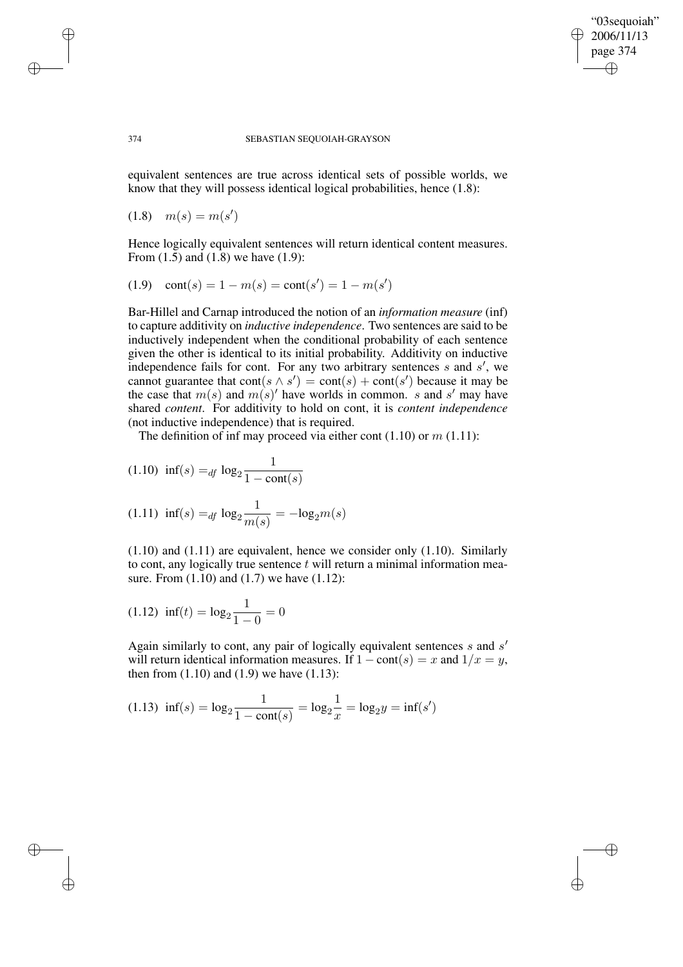# "03sequoiah" 2006/11/13 page 374 ✐ ✐

✐

✐

#### 374 SEBASTIAN SEQUOIAH-GRAYSON

equivalent sentences are true across identical sets of possible worlds, we know that they will possess identical logical probabilities, hence (1.8):

 $(1.8)$   $m(s) = m(s')$ 

Hence logically equivalent sentences will return identical content measures. From (1.5) and (1.8) we have (1.9):

$$
(1.9) \quad \text{cont}(s) = 1 - m(s) = \text{cont}(s') = 1 - m(s')
$$

Bar-Hillel and Carnap introduced the notion of an *information measure* (inf) to capture additivity on *inductive independence*. Two sentences are said to be inductively independent when the conditional probability of each sentence given the other is identical to its initial probability. Additivity on inductive independence fails for cont. For any two arbitrary sentences  $s$  and  $s'$ , we cannot guarantee that  $\text{cont}(s \wedge s') = \text{cont}(s) + \text{cont}(s')$  because it may be the case that  $m(s)$  and  $m(s)'$  have worlds in common. s and s' may have shared *content*. For additivity to hold on cont, it is *content independence* (not inductive independence) that is required.

The definition of inf may proceed via either cont  $(1.10)$  or  $m(1.11)$ :

(1.10) inf(s) =<sub>df</sub> log<sub>2</sub> 
$$
\frac{1}{1 - \text{cont}(s)}
$$
  
(1.11) inf(s) =<sub>df</sub> log<sub>2</sub>  $\frac{1}{m(s)}$  = -log<sub>2</sub>m(s)

(1.10) and (1.11) are equivalent, hence we consider only (1.10). Similarly to cont, any logically true sentence  $t$  will return a minimal information measure. From (1.10) and (1.7) we have (1.12):

$$
(1.12) \ \ \text{inf}(t) = \log_2 \frac{1}{1 - 0} = 0
$$

Again similarly to cont, any pair of logically equivalent sentences  $s$  and  $s'$ will return identical information measures. If  $1 - \text{cont}(s) = x$  and  $1/x = y$ , then from  $(1.10)$  and  $(1.9)$  we have  $(1.13)$ :

$$
(1.13)\ \ \text{inf}(s) = \log_2 \frac{1}{1 - \text{cont}(s)} = \log_2 \frac{1}{x} = \log_2 y = \text{inf}(s')
$$

✐

✐

✐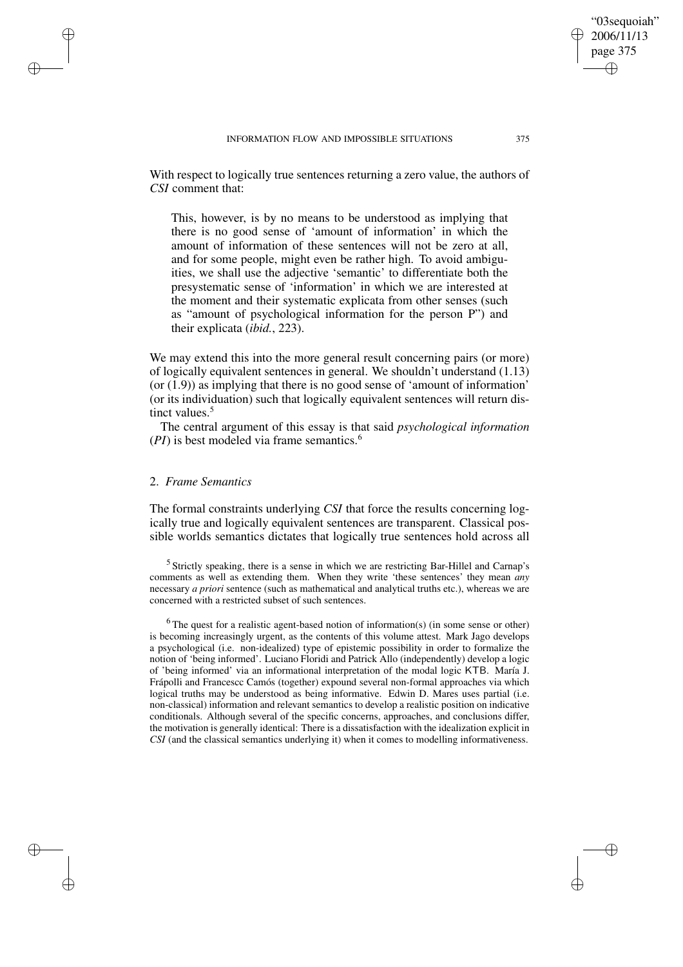With respect to logically true sentences returning a zero value, the authors of

*CSI* comment that:

This, however, is by no means to be understood as implying that there is no good sense of 'amount of information' in which the amount of information of these sentences will not be zero at all, and for some people, might even be rather high. To avoid ambiguities, we shall use the adjective 'semantic' to differentiate both the presystematic sense of 'information' in which we are interested at the moment and their systematic explicata from other senses (such as "amount of psychological information for the person P") and their explicata (*ibid.*, 223).

We may extend this into the more general result concerning pairs (or more) of logically equivalent sentences in general. We shouldn't understand (1.13)  $($ or  $(1.9)$ ) as implying that there is no good sense of 'amount of information' (or its individuation) such that logically equivalent sentences will return distinct values.<sup>5</sup>

The central argument of this essay is that said *psychological information*  $(PI)$  is best modeled via frame semantics.<sup>6</sup>

# 2. *Frame Semantics*

✐

✐

✐

✐

The formal constraints underlying *CSI* that force the results concerning logically true and logically equivalent sentences are transparent. Classical possible worlds semantics dictates that logically true sentences hold across all

<sup>5</sup> Strictly speaking, there is a sense in which we are restricting Bar-Hillel and Carnap's comments as well as extending them. When they write 'these sentences' they mean *any* necessary *a priori* sentence (such as mathematical and analytical truths etc.), whereas we are concerned with a restricted subset of such sentences.

 $6$ The quest for a realistic agent-based notion of information(s) (in some sense or other) is becoming increasingly urgent, as the contents of this volume attest. Mark Jago develops a psychological (i.e. non-idealized) type of epistemic possibility in order to formalize the notion of 'being informed'. Luciano Floridi and Patrick Allo (independently) develop a logic of 'being informed' via an informational interpretation of the modal logic KTB. María J. Frápolli and Francescc Camós (together) expound several non-formal approaches via which logical truths may be understood as being informative. Edwin D. Mares uses partial (i.e. non-classical) information and relevant semantics to develop a realistic position on indicative conditionals. Although several of the specific concerns, approaches, and conclusions differ, the motivation is generally identical: There is a dissatisfaction with the idealization explicit in *CSI* (and the classical semantics underlying it) when it comes to modelling informativeness.

"03sequoiah" 2006/11/13 page 375

✐

✐

✐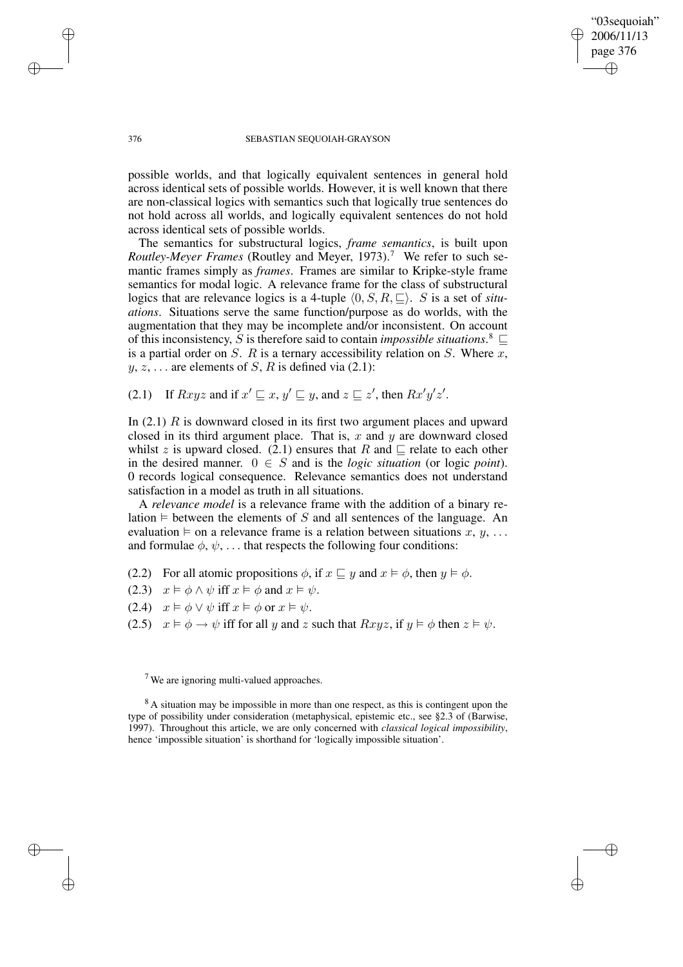"03sequoiah" 2006/11/13 page 376 ✐ ✐

✐

✐

#### 376 SEBASTIAN SEQUOIAH-GRAYSON

possible worlds, and that logically equivalent sentences in general hold across identical sets of possible worlds. However, it is well known that there are non-classical logics with semantics such that logically true sentences do not hold across all worlds, and logically equivalent sentences do not hold across identical sets of possible worlds.

The semantics for substructural logics, *frame semantics*, is built upon *Routley-Meyer Frames* (Routley and Meyer, 1973).<sup>7</sup> We refer to such semantic frames simply as *frames*. Frames are similar to Kripke-style frame semantics for modal logic. A relevance frame for the class of substructural logics that are relevance logics is a 4-tuple  $\langle 0, S, R, \square \rangle$ . S is a set of *situations*. Situations serve the same function/purpose as do worlds, with the augmentation that they may be incomplete and/or inconsistent. On account of this inconsistency, S is therefore said to contain *impossible situations*.<sup>8</sup>  $\subseteq$ is a partial order on  $S$ .  $R$  is a ternary accessibility relation on  $S$ . Where  $x$ ,  $y, z, \ldots$  are elements of S, R is defined via (2.1):

(2.1) If  $Rxyz$  and if  $x' \sqsubseteq x$ ,  $y' \sqsubseteq y$ , and  $z \sqsubseteq z'$ , then  $Rx'y'z'$ .

In  $(2.1)$  R is downward closed in its first two argument places and upward closed in its third argument place. That is,  $x$  and  $y$  are downward closed whilst z is upward closed. (2.1) ensures that R and  $\sqsubseteq$  relate to each other in the desired manner.  $0 \in S$  and is the *logic situation* (or logic *point*). 0 records logical consequence. Relevance semantics does not understand satisfaction in a model as truth in all situations.

A *relevance model* is a relevance frame with the addition of a binary relation  $\models$  between the elements of S and all sentences of the language. An evaluation  $\vdash$  on a relevance frame is a relation between situations  $x, y, \ldots$ and formulae  $\phi$ ,  $\psi$ , ... that respects the following four conditions:

- (2.2) For all atomic propositions  $\phi$ , if  $x \sqsubseteq y$  and  $x \models \phi$ , then  $y \models \phi$ .
- (2.3)  $x \models \phi \land \psi$  iff  $x \models \phi$  and  $x \models \psi$ .
- (2.4)  $x \models \phi \lor \psi$  iff  $x \models \phi$  or  $x \models \psi$ .
- (2.5)  $x \vDash \phi \rightarrow \psi$  iff for all y and z such that  $Rxyz$ , if  $y \vDash \phi$  then  $z \vDash \psi$ .

✐

✐

✐

<sup>7</sup> We are ignoring multi-valued approaches.

<sup>&</sup>lt;sup>8</sup> A situation may be impossible in more than one respect, as this is contingent upon the type of possibility under consideration (metaphysical, epistemic etc., see §2.3 of (Barwise, 1997). Throughout this article, we are only concerned with *classical logical impossibility*, hence 'impossible situation' is shorthand for 'logically impossible situation'.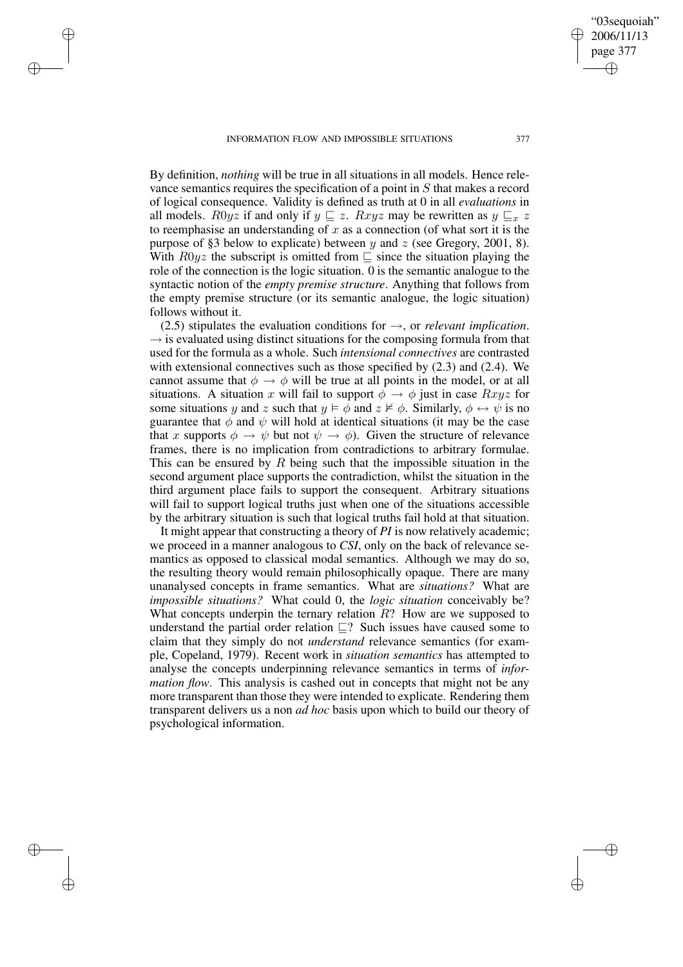INFORMATION FLOW AND IMPOSSIBLE SITUATIONS 377

✐

✐

✐

✐

"03sequoiah" 2006/11/13 page 377

✐

✐

✐

✐

By definition, *nothing* will be true in all situations in all models. Hence relevance semantics requires the specification of a point in S that makes a record of logical consequence. Validity is defined as truth at 0 in all *evaluations* in all models. R0yz if and only if  $y \subseteq z$ . Rxyz may be rewritten as  $y \subseteq x$  z to reemphasise an understanding of  $x$  as a connection (of what sort it is the purpose of §3 below to explicate) between  $y$  and  $z$  (see Gregory, 2001, 8). With  $R0yz$  the subscript is omitted from  $\subseteq$  since the situation playing the role of the connection is the logic situation. 0 is the semantic analogue to the syntactic notion of the *empty premise structure*. Anything that follows from the empty premise structure (or its semantic analogue, the logic situation) follows without it.

(2.5) stipulates the evaluation conditions for →, or *relevant implication*.  $\rightarrow$  is evaluated using distinct situations for the composing formula from that used for the formula as a whole. Such *intensional connectives* are contrasted with extensional connectives such as those specified by  $(2.3)$  and  $(2.4)$ . We cannot assume that  $\phi \rightarrow \phi$  will be true at all points in the model, or at all situations. A situation x will fail to support  $\phi \rightarrow \phi$  just in case  $Rxyz$  for some situations y and z such that  $y \vDash \phi$  and  $z \nvDash \phi$ . Similarly,  $\phi \leftrightarrow \psi$  is no guarantee that  $\phi$  and  $\psi$  will hold at identical situations (it may be the case that x supports  $\phi \to \psi$  but not  $\psi \to \phi$ ). Given the structure of relevance frames, there is no implication from contradictions to arbitrary formulae. This can be ensured by  $R$  being such that the impossible situation in the second argument place supports the contradiction, whilst the situation in the third argument place fails to support the consequent. Arbitrary situations will fail to support logical truths just when one of the situations accessible by the arbitrary situation is such that logical truths fail hold at that situation.

It might appear that constructing a theory of *PI* is now relatively academic; we proceed in a manner analogous to *CSI*, only on the back of relevance semantics as opposed to classical modal semantics. Although we may do so, the resulting theory would remain philosophically opaque. There are many unanalysed concepts in frame semantics. What are *situations?* What are *impossible situations?* What could 0, the *logic situation* conceivably be? What concepts underpin the ternary relation  $R$ ? How are we supposed to understand the partial order relation  $\Box$ ? Such issues have caused some to claim that they simply do not *understand* relevance semantics (for example, Copeland, 1979). Recent work in *situation semantics* has attempted to analyse the concepts underpinning relevance semantics in terms of *information flow.* This analysis is cashed out in concepts that might not be any more transparent than those they were intended to explicate. Rendering them transparent delivers us a non *ad hoc* basis upon which to build our theory of psychological information.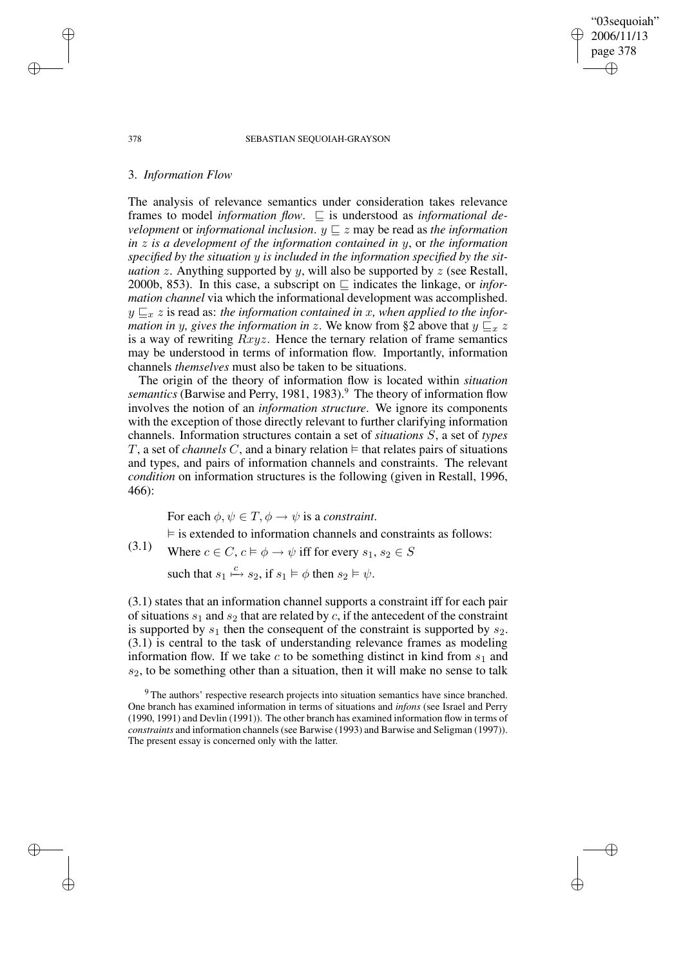"03sequoiah" 2006/11/13 page 378 ✐ ✐

✐

✐

#### 378 SEBASTIAN SEQUOIAH-GRAYSON

### 3. *Information Flow*

The analysis of relevance semantics under consideration takes relevance frames to model *information flow*.  $\Box$  is understood as *informational development* or *informational inclusion*.  $y \subseteq z$  may be read as *the information in* z *is a development of the information contained in* y, or *the information specified by the situation* y *is included in the information specified by the situation* z. Anything supported by y, will also be supported by z (see Restall, 2000b, 853). In this case, a subscript on  $\sqsubseteq$  indicates the linkage, or *information channel* via which the informational development was accomplished.  $y \sqsubseteq x$  is read as: *the information contained in* x, when applied to the *information in* y, gives the *information in* z. We know from §2 above that  $y \sqsubseteq x z$ is a way of rewriting  $Rxyz$ . Hence the ternary relation of frame semantics may be understood in terms of information flow. Importantly, information channels *themselves* must also be taken to be situations.

The origin of the theory of information flow is located within *situation* semantics (Barwise and Perry, 1981, 1983).<sup>9</sup> The theory of information flow involves the notion of an *information structure*. We ignore its components with the exception of those directly relevant to further clarifying information channels. Information structures contain a set of *situations* S, a set of *types* T, a set of *channels* C, and a binary relation  $\models$  that relates pairs of situations and types, and pairs of information channels and constraints. The relevant *condition* on information structures is the following (given in Restall, 1996, 466):

For each  $\phi, \psi \in T$ ,  $\phi \rightarrow \psi$  is a *constraint*.

 $\vdash$  is extended to information channels and constraints as follows:

(3.1) Where  $c \in C$ ,  $c \models \phi \rightarrow \psi$  iff for every  $s_1, s_2 \in S$ 

such that  $s_1 \stackrel{c}{\mapsto} s_2$ , if  $s_1 \vDash \phi$  then  $s_2 \vDash \psi$ .

(3.1) states that an information channel supports a constraint iff for each pair of situations  $s_1$  and  $s_2$  that are related by c, if the antecedent of the constraint is supported by  $s_1$  then the consequent of the constraint is supported by  $s_2$ . (3.1) is central to the task of understanding relevance frames as modeling information flow. If we take c to be something distinct in kind from  $s<sub>1</sub>$  and  $s<sub>2</sub>$ , to be something other than a situation, then it will make no sense to talk

✐

✐

✐

<sup>&</sup>lt;sup>9</sup> The authors' respective research projects into situation semantics have since branched. One branch has examined information in terms of situations and *infons* (see Israel and Perry (1990, 1991) and Devlin (1991)). The other branch has examined information flow in terms of *constraints* and information channels(see Barwise (1993) and Barwise and Seligman (1997)). The present essay is concerned only with the latter.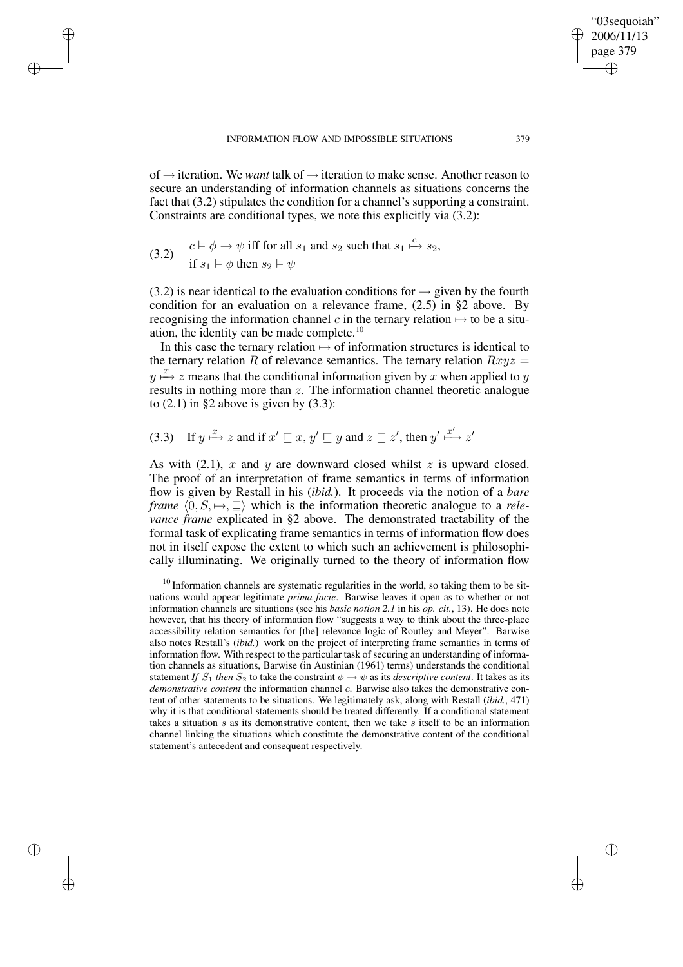of → iteration. We *want* talk of → iteration to make sense. Another reason to secure an understanding of information channels as situations concerns the fact that (3.2) stipulates the condition for a channel's supporting a constraint. Constraints are conditional types, we note this explicitly via (3.2):

(3.2) 
$$
c \vDash \phi \rightarrow \psi \text{ iff for all } s_1 \text{ and } s_2 \text{ such that } s_1 \xrightarrow{c} s_2,
$$
  
if  $s_1 \vDash \phi$  then  $s_2 \vDash \psi$ 

✐

✐

✐

✐

(3.2) is near identical to the evaluation conditions for  $\rightarrow$  given by the fourth condition for an evaluation on a relevance frame, (2.5) in §2 above. By recognising the information channel c in the ternary relation  $\mapsto$  to be a situation, the identity can be made complete. $10$ 

In this case the ternary relation  $\mapsto$  of information structures is identical to the ternary relation R of relevance semantics. The ternary relation  $Rxyz =$  $y \stackrel{x}{\mapsto} z$  means that the conditional information given by x when applied to y results in nothing more than z. The information channel theoretic analogue to  $(2.1)$  in §2 above is given by  $(3.3)$ :

(3.3) If  $y \stackrel{x}{\mapsto} z$  and if  $x' \sqsubseteq x$ ,  $y' \sqsubseteq y$  and  $z \sqsubseteq z'$ , then  $y' \stackrel{x'}{\mapsto} z'$ 

As with  $(2.1)$ , x and y are downward closed whilst z is upward closed. The proof of an interpretation of frame semantics in terms of information flow is given by Restall in his (*ibid.*). It proceeds via the notion of a *bare frame*  $\langle 0, S \rangle \rightarrow \mathbb{Z}$  which is the information theoretic analogue to a *relevance frame* explicated in §2 above. The demonstrated tractability of the formal task of explicating frame semantics in terms of information flow does not in itself expose the extent to which such an achievement is philosophically illuminating. We originally turned to the theory of information flow

 $10$  Information channels are systematic regularities in the world, so taking them to be situations would appear legitimate *prima facie*. Barwise leaves it open as to whether or not information channels are situations (see his *basic notion 2.1* in his *op. cit.*, 13). He does note however, that his theory of information flow "suggests a way to think about the three-place accessibility relation semantics for [the] relevance logic of Routley and Meyer". Barwise also notes Restall's (*ibid.*) work on the project of interpreting frame semantics in terms of information flow. With respect to the particular task of securing an understanding of information channels as situations, Barwise (in Austinian (1961) terms) understands the conditional statement *If*  $S_1$  *then*  $S_2$  to take the constraint  $\phi \rightarrow \psi$  as its *descriptive content*. It takes as its *demonstrative content* the information channel c. Barwise also takes the demonstrative content of other statements to be situations. We legitimately ask, along with Restall (*ibid.*, 471) why it is that conditional statements should be treated differently. If a conditional statement takes a situation  $s$  as its demonstrative content, then we take  $s$  itself to be an information channel linking the situations which constitute the demonstrative content of the conditional statement's antecedent and consequent respectively.

"03sequoiah" 2006/11/13 page 379

✐

✐

✐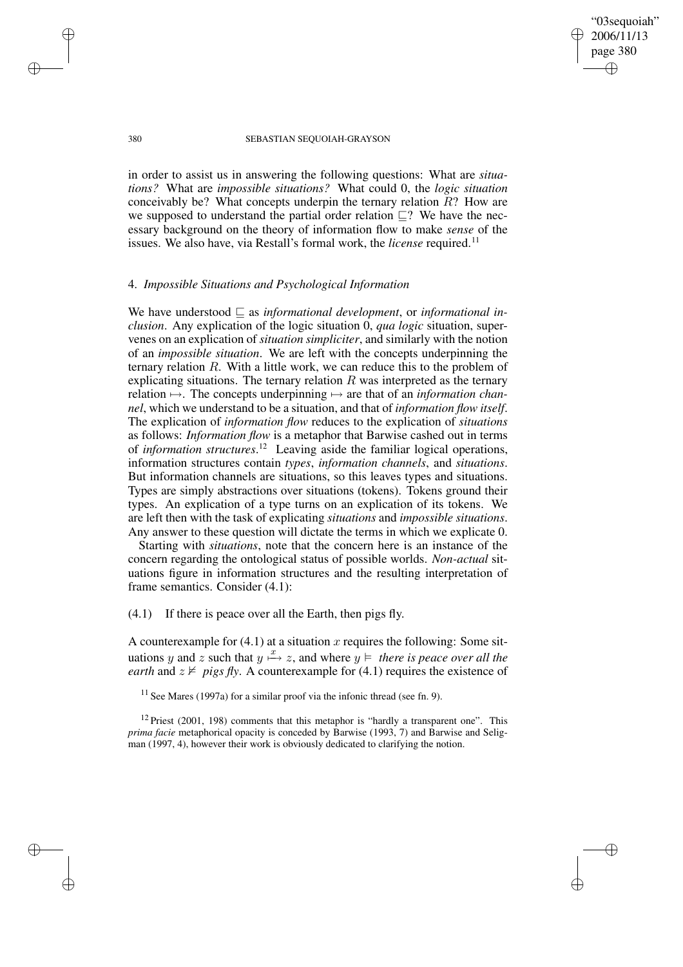✐

✐

#### 380 SEBASTIAN SEQUOIAH-GRAYSON

in order to assist us in answering the following questions: What are *situations?* What are *impossible situations?* What could 0, the *logic situation* conceivably be? What concepts underpin the ternary relation  $R$ ? How are we supposed to understand the partial order relation  $\Box$ ? We have the necessary background on the theory of information flow to make *sense* of the issues. We also have, via Restall's formal work, the *license* required.<sup>11</sup>

# 4. *Impossible Situations and Psychological Information*

We have understood  $\subseteq$  as *informational development*, or *informational inclusion*. Any explication of the logic situation 0, *qua logic* situation, supervenes on an explication of *situation simpliciter*, and similarly with the notion of an *impossible situation*. We are left with the concepts underpinning the ternary relation R. With a little work, we can reduce this to the problem of explicating situations. The ternary relation  $R$  was interpreted as the ternary relation 7→. The concepts underpinning 7→ are that of an *information channel*, which we understand to be a situation, and that of *information flow itself*. The explication of *information flow* reduces to the explication of *situations* as follows: *Information flow* is a metaphor that Barwise cashed out in terms of *information structures*. <sup>12</sup> Leaving aside the familiar logical operations, information structures contain *types*, *information channels*, and *situations*. But information channels are situations, so this leaves types and situations. Types are simply abstractions over situations (tokens). Tokens ground their types. An explication of a type turns on an explication of its tokens. We are left then with the task of explicating *situations* and *impossible situations*. Any answer to these question will dictate the terms in which we explicate 0.

Starting with *situations*, note that the concern here is an instance of the concern regarding the ontological status of possible worlds. *Non-actual* situations figure in information structures and the resulting interpretation of frame semantics. Consider (4.1):

(4.1) If there is peace over all the Earth, then pigs fly.

A counterexample for  $(4.1)$  at a situation x requires the following: Some situations y and z such that  $y \stackrel{x}{\mapsto} z$ , and where  $y \models$  *there is peace over all the earth* and  $z \nvDash \text{pigs fly}$ . A counterexample for (4.1) requires the existence of

 $12$  Priest (2001, 198) comments that this metaphor is "hardly a transparent one". This *prima facie* metaphorical opacity is conceded by Barwise (1993, 7) and Barwise and Seligman (1997, 4), however their work is obviously dedicated to clarifying the notion.

✐

✐

✐

 $11$  See Mares (1997a) for a similar proof via the infonic thread (see fn. 9).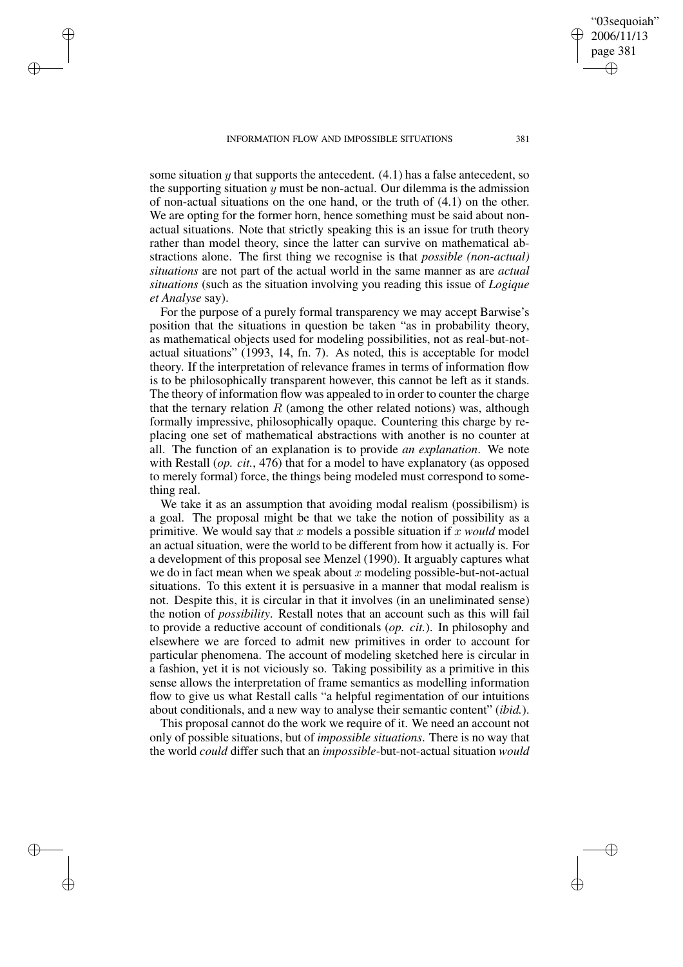INFORMATION FLOW AND IMPOSSIBLE SITUATIONS 381

✐

✐

✐

✐

some situation  $\upsilon$  that supports the antecedent. (4.1) has a false antecedent, so the supporting situation  $y$  must be non-actual. Our dilemma is the admission of non-actual situations on the one hand, or the truth of (4.1) on the other. We are opting for the former horn, hence something must be said about nonactual situations. Note that strictly speaking this is an issue for truth theory rather than model theory, since the latter can survive on mathematical abstractions alone. The first thing we recognise is that *possible (non-actual) situations* are not part of the actual world in the same manner as are *actual situations* (such as the situation involving you reading this issue of *Logique et Analyse* say).

For the purpose of a purely formal transparency we may accept Barwise's position that the situations in question be taken "as in probability theory, as mathematical objects used for modeling possibilities, not as real-but-notactual situations" (1993, 14, fn. 7). As noted, this is acceptable for model theory. If the interpretation of relevance frames in terms of information flow is to be philosophically transparent however, this cannot be left as it stands. The theory of information flow was appealed to in order to counter the charge that the ternary relation  $R$  (among the other related notions) was, although formally impressive, philosophically opaque. Countering this charge by replacing one set of mathematical abstractions with another is no counter at all. The function of an explanation is to provide *an explanation*. We note with Restall (*op. cit.*, 476) that for a model to have explanatory (as opposed to merely formal) force, the things being modeled must correspond to something real.

We take it as an assumption that avoiding modal realism (possibilism) is a goal. The proposal might be that we take the notion of possibility as a primitive. We would say that x models a possible situation if x *would* model an actual situation, were the world to be different from how it actually is. For a development of this proposal see Menzel (1990). It arguably captures what we do in fact mean when we speak about x modeling possible-but-not-actual situations. To this extent it is persuasive in a manner that modal realism is not. Despite this, it is circular in that it involves (in an uneliminated sense) the notion of *possibility*. Restall notes that an account such as this will fail to provide a reductive account of conditionals (*op. cit.*). In philosophy and elsewhere we are forced to admit new primitives in order to account for particular phenomena. The account of modeling sketched here is circular in a fashion, yet it is not viciously so. Taking possibility as a primitive in this sense allows the interpretation of frame semantics as modelling information flow to give us what Restall calls "a helpful regimentation of our intuitions about conditionals, and a new way to analyse their semantic content" (*ibid.*).

This proposal cannot do the work we require of it. We need an account not only of possible situations, but of *impossible situations*. There is no way that the world *could* differ such that an *impossible*-but-not-actual situation *would*

"03sequoiah" 2006/11/13 page 381

✐

✐

✐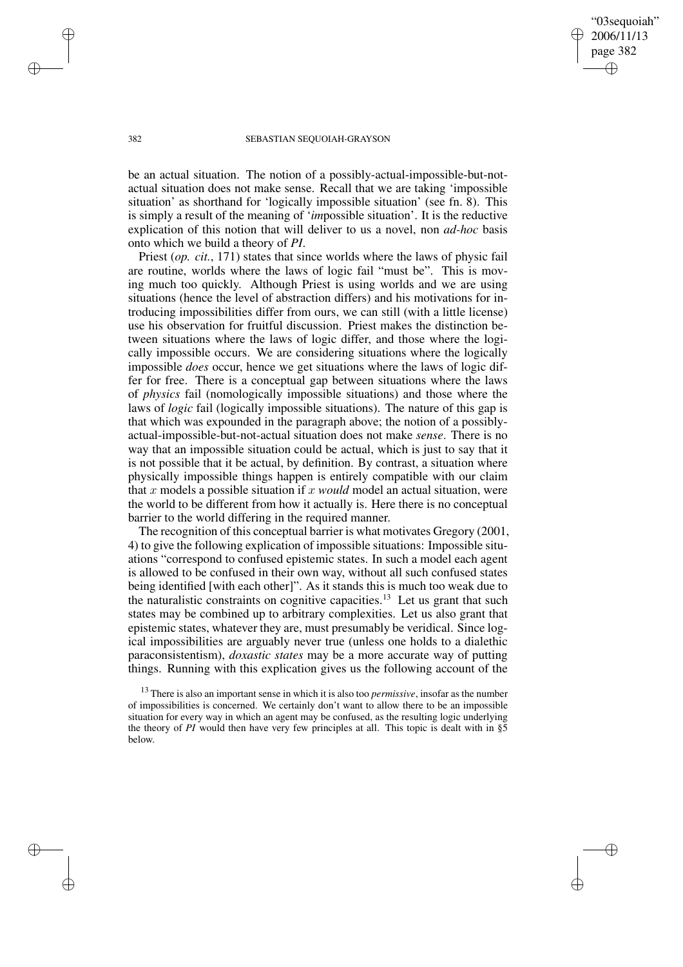"03sequoiah" 2006/11/13 page 382 ✐ ✐

✐

✐

#### 382 SEBASTIAN SEQUOIAH-GRAYSON

be an actual situation. The notion of a possibly-actual-impossible-but-notactual situation does not make sense. Recall that we are taking 'impossible situation' as shorthand for 'logically impossible situation' (see fn. 8). This is simply a result of the meaning of '*im*possible situation'. It is the reductive explication of this notion that will deliver to us a novel, non *ad-hoc* basis onto which we build a theory of *PI*.

Priest (*op. cit.*, 171) states that since worlds where the laws of physic fail are routine, worlds where the laws of logic fail "must be". This is moving much too quickly. Although Priest is using worlds and we are using situations (hence the level of abstraction differs) and his motivations for introducing impossibilities differ from ours, we can still (with a little license) use his observation for fruitful discussion. Priest makes the distinction between situations where the laws of logic differ, and those where the logically impossible occurs. We are considering situations where the logically impossible *does* occur, hence we get situations where the laws of logic differ for free. There is a conceptual gap between situations where the laws of *physics* fail (nomologically impossible situations) and those where the laws of *logic* fail (logically impossible situations). The nature of this gap is that which was expounded in the paragraph above; the notion of a possiblyactual-impossible-but-not-actual situation does not make *sense*. There is no way that an impossible situation could be actual, which is just to say that it is not possible that it be actual, by definition. By contrast, a situation where physically impossible things happen is entirely compatible with our claim that x models a possible situation if x *would* model an actual situation, were the world to be different from how it actually is. Here there is no conceptual barrier to the world differing in the required manner.

The recognition of this conceptual barrier is what motivates Gregory (2001, 4) to give the following explication of impossible situations: Impossible situations "correspond to confused epistemic states. In such a model each agent is allowed to be confused in their own way, without all such confused states being identified [with each other]". As it stands this is much too weak due to the naturalistic constraints on cognitive capacities.<sup>13</sup> Let us grant that such states may be combined up to arbitrary complexities. Let us also grant that epistemic states, whatever they are, must presumably be veridical. Since logical impossibilities are arguably never true (unless one holds to a dialethic paraconsistentism), *doxastic states* may be a more accurate way of putting things. Running with this explication gives us the following account of the

<sup>13</sup> There is also an important sense in which it is also too *permissive*, insofar as the number of impossibilities is concerned. We certainly don't want to allow there to be an impossible situation for every way in which an agent may be confused, as the resulting logic underlying the theory of *PI* would then have very few principles at all. This topic is dealt with in §5 below.

✐

✐

✐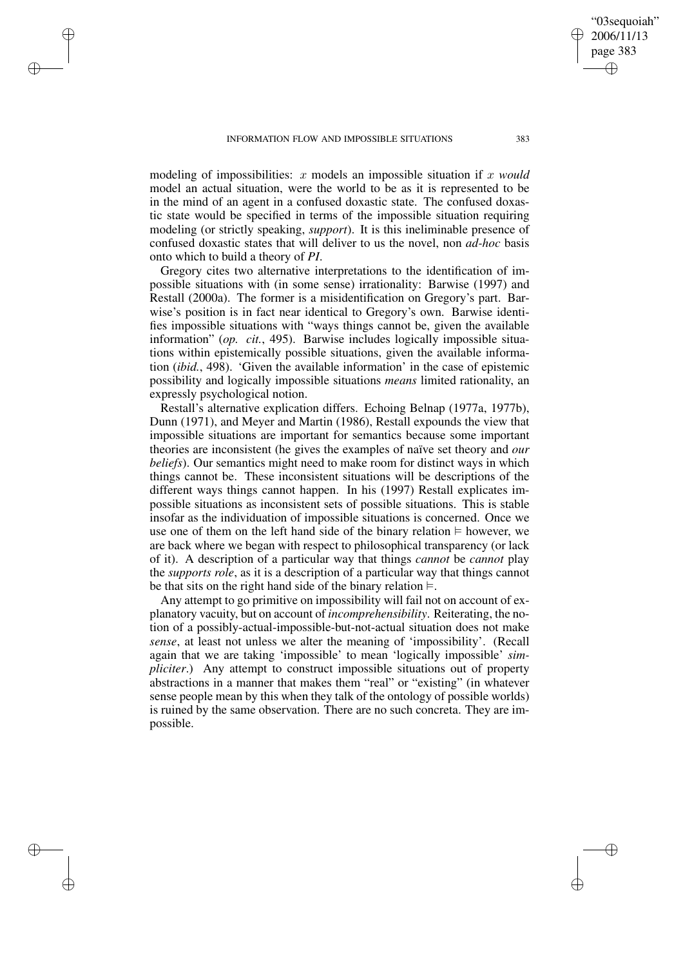✐

✐

✐

✐

modeling of impossibilities: x models an impossible situation if x *would* model an actual situation, were the world to be as it is represented to be in the mind of an agent in a confused doxastic state. The confused doxastic state would be specified in terms of the impossible situation requiring modeling (or strictly speaking, *support*). It is this ineliminable presence of confused doxastic states that will deliver to us the novel, non *ad-hoc* basis onto which to build a theory of *PI*.

Gregory cites two alternative interpretations to the identification of impossible situations with (in some sense) irrationality: Barwise (1997) and Restall (2000a). The former is a misidentification on Gregory's part. Barwise's position is in fact near identical to Gregory's own. Barwise identifies impossible situations with "ways things cannot be, given the available information" (*op. cit.*, 495). Barwise includes logically impossible situations within epistemically possible situations, given the available information (*ibid.*, 498). 'Given the available information' in the case of epistemic possibility and logically impossible situations *means* limited rationality, an expressly psychological notion.

Restall's alternative explication differs. Echoing Belnap (1977a, 1977b), Dunn (1971), and Meyer and Martin (1986), Restall expounds the view that impossible situations are important for semantics because some important theories are inconsistent (he gives the examples of naïve set theory and *our beliefs*). Our semantics might need to make room for distinct ways in which things cannot be. These inconsistent situations will be descriptions of the different ways things cannot happen. In his (1997) Restall explicates impossible situations as inconsistent sets of possible situations. This is stable insofar as the individuation of impossible situations is concerned. Once we use one of them on the left hand side of the binary relation  $\models$  however, we are back where we began with respect to philosophical transparency (or lack of it). A description of a particular way that things *cannot* be *cannot* play the *supports role*, as it is a description of a particular way that things cannot be that sits on the right hand side of the binary relation  $\models$ .

Any attempt to go primitive on impossibility will fail not on account of explanatory vacuity, but on account of *incomprehensibility*. Reiterating, the notion of a possibly-actual-impossible-but-not-actual situation does not make *sense*, at least not unless we alter the meaning of 'impossibility'. (Recall again that we are taking 'impossible' to mean 'logically impossible' *simpliciter*.) Any attempt to construct impossible situations out of property abstractions in a manner that makes them "real" or "existing" (in whatever sense people mean by this when they talk of the ontology of possible worlds) is ruined by the same observation. There are no such concreta. They are impossible.

"03sequoiah" 2006/11/13 page 383

✐

✐

✐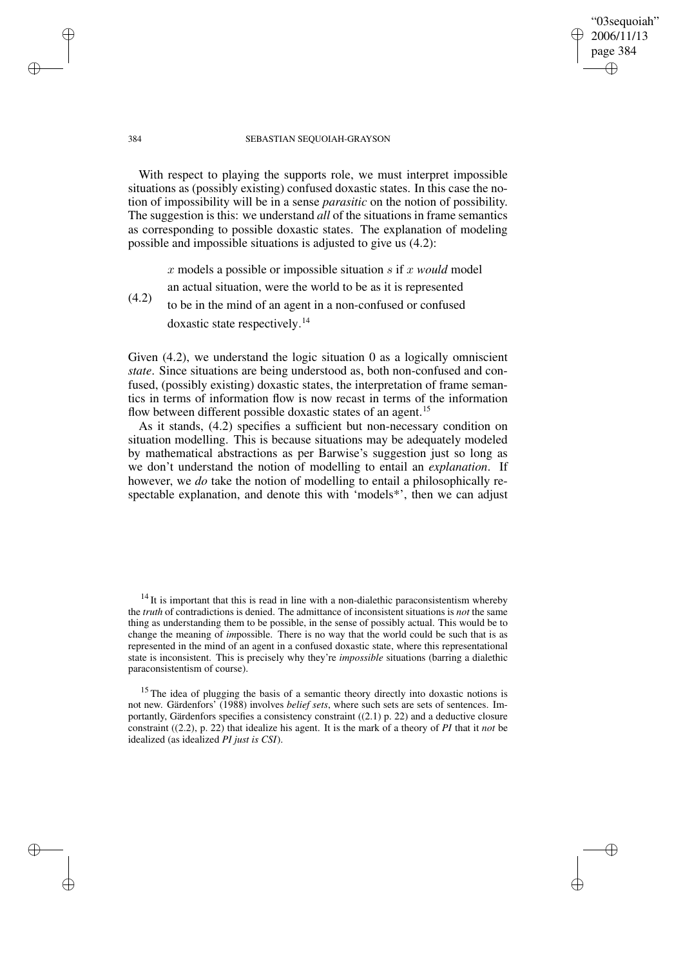#### 384 SEBASTIAN SEQUOIAH-GRAYSON

"03sequoiah" 2006/11/13 page 384

✐

✐

✐

✐

With respect to playing the supports role, we must interpret impossible situations as (possibly existing) confused doxastic states. In this case the notion of impossibility will be in a sense *parasitic* on the notion of possibility. The suggestion is this: we understand *all* of the situations in frame semantics as corresponding to possible doxastic states. The explanation of modeling possible and impossible situations is adjusted to give us (4.2):

x models a possible or impossible situation s if x *would* model

an actual situation, were the world to be as it is represented

(4.2) to be in the mind of an agent in a non-confused or confused doxastic state respectively. 14

Given (4.2), we understand the logic situation 0 as a logically omniscient *state*. Since situations are being understood as, both non-confused and confused, (possibly existing) doxastic states, the interpretation of frame semantics in terms of information flow is now recast in terms of the information flow between different possible doxastic states of an agent.<sup>15</sup>

As it stands, (4.2) specifies a sufficient but non-necessary condition on situation modelling. This is because situations may be adequately modeled by mathematical abstractions as per Barwise's suggestion just so long as we don't understand the notion of modelling to entail an *explanation*. If however, we *do* take the notion of modelling to entail a philosophically respectable explanation, and denote this with 'models\*', then we can adjust

 $14$  It is important that this is read in line with a non-dialethic paraconsistentism whereby the *truth* of contradictions is denied. The admittance of inconsistent situations is *not* the same thing as understanding them to be possible, in the sense of possibly actual. This would be to change the meaning of *im*possible. There is no way that the world could be such that is as represented in the mind of an agent in a confused doxastic state, where this representational state is inconsistent. This is precisely why they're *impossible* situations (barring a dialethic paraconsistentism of course).

<sup>15</sup> The idea of plugging the basis of a semantic theory directly into doxastic notions is not new. Gärdenfors' (1988) involves *belief sets*, where such sets are sets of sentences. Importantly, Gärdenfors specifies a consistency constraint ((2.1) p. 22) and a deductive closure constraint ((2.2), p. 22) that idealize his agent. It is the mark of a theory of *PI* that it *not* be idealized (as idealized *PI just is CSI*).

✐

✐

✐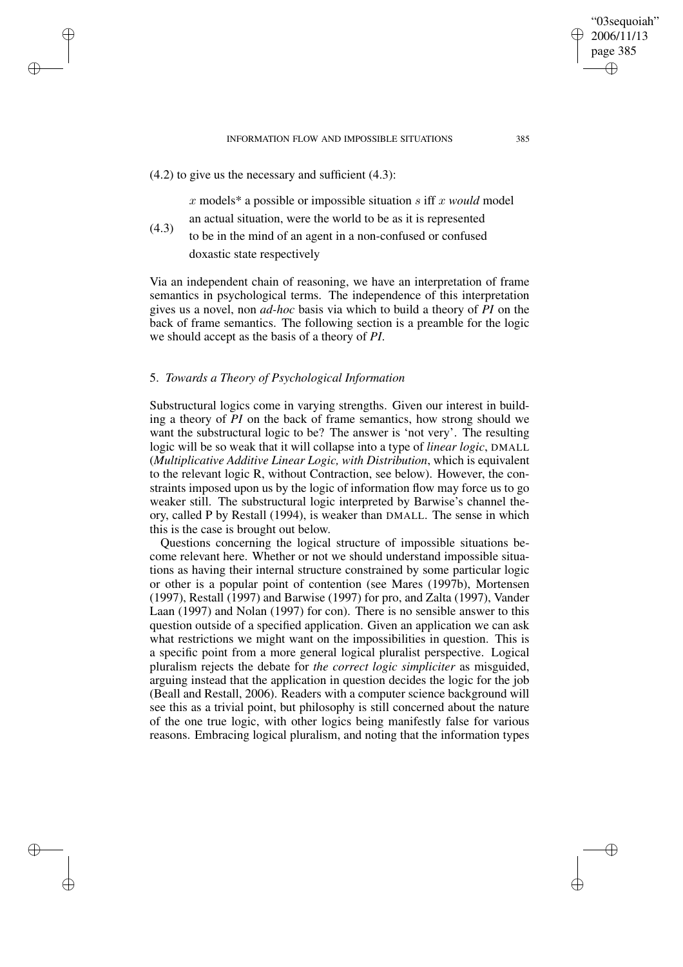#### INFORMATION FLOW AND IMPOSSIBLE SITUATIONS 385

 $(4.2)$  to give us the necessary and sufficient  $(4.3)$ :

✐

✐

✐

✐

x models\* a possible or impossible situation s iff x *would* model an actual situation, were the world to be as it is represented

(4.3) to be in the mind of an agent in a non-confused or confused doxastic state respectively

Via an independent chain of reasoning, we have an interpretation of frame semantics in psychological terms. The independence of this interpretation gives us a novel, non *ad-hoc* basis via which to build a theory of *PI* on the back of frame semantics. The following section is a preamble for the logic we should accept as the basis of a theory of *PI*.

# 5. *Towards a Theory of Psychological Information*

Substructural logics come in varying strengths. Given our interest in building a theory of *PI* on the back of frame semantics, how strong should we want the substructural logic to be? The answer is 'not very'. The resulting logic will be so weak that it will collapse into a type of *linear logic*, DMALL (*Multiplicative Additive Linear Logic, with Distribution*, which is equivalent to the relevant logic R, without Contraction, see below). However, the constraints imposed upon us by the logic of information flow may force us to go weaker still. The substructural logic interpreted by Barwise's channel theory, called P by Restall (1994), is weaker than DMALL. The sense in which this is the case is brought out below.

Questions concerning the logical structure of impossible situations become relevant here. Whether or not we should understand impossible situations as having their internal structure constrained by some particular logic or other is a popular point of contention (see Mares (1997b), Mortensen (1997), Restall (1997) and Barwise (1997) for pro, and Zalta (1997), Vander Laan (1997) and Nolan (1997) for con). There is no sensible answer to this question outside of a specified application. Given an application we can ask what restrictions we might want on the impossibilities in question. This is a specific point from a more general logical pluralist perspective. Logical pluralism rejects the debate for *the correct logic simpliciter* as misguided, arguing instead that the application in question decides the logic for the job (Beall and Restall, 2006). Readers with a computer science background will see this as a trivial point, but philosophy is still concerned about the nature of the one true logic, with other logics being manifestly false for various reasons. Embracing logical pluralism, and noting that the information types

"03sequoiah" 2006/11/13 page 385

✐

✐

✐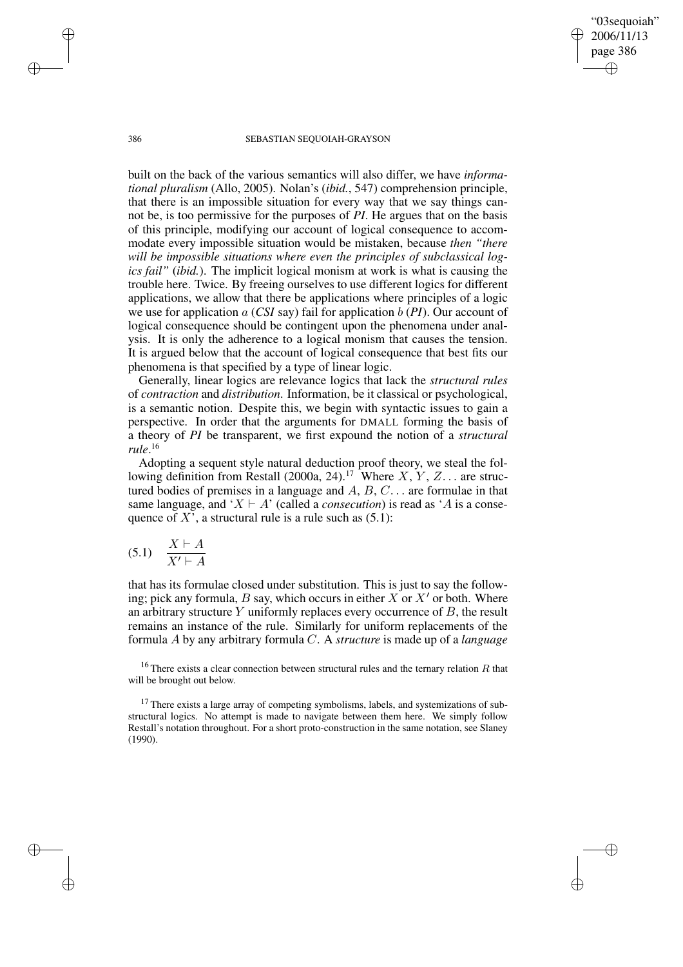386 SEBASTIAN SEQUOIAH-GRAYSON

"03sequoiah" 2006/11/13 page 386

✐

✐

✐

✐

built on the back of the various semantics will also differ, we have *informational pluralism* (Allo, 2005). Nolan's (*ibid.*, 547) comprehension principle, that there is an impossible situation for every way that we say things cannot be, is too permissive for the purposes of *PI*. He argues that on the basis of this principle, modifying our account of logical consequence to accommodate every impossible situation would be mistaken, because *then "there will be impossible situations where even the principles of subclassical logics fail"* (*ibid.*). The implicit logical monism at work is what is causing the trouble here. Twice. By freeing ourselves to use different logics for different applications, we allow that there be applications where principles of a logic we use for application  $a$  (*CSI* say) fail for application  $b$  (*PI*). Our account of logical consequence should be contingent upon the phenomena under analysis. It is only the adherence to a logical monism that causes the tension. It is argued below that the account of logical consequence that best fits our phenomena is that specified by a type of linear logic.

Generally, linear logics are relevance logics that lack the *structural rules* of *contraction* and *distribution*. Information, be it classical or psychological, is a semantic notion. Despite this, we begin with syntactic issues to gain a perspective. In order that the arguments for DMALL forming the basis of a theory of *PI* be transparent, we first expound the notion of a *structural rule*. 16

Adopting a sequent style natural deduction proof theory, we steal the following definition from Restall (2000a, 24).<sup>17</sup> Where  $X, Y, Z...$  are structured bodies of premises in a language and  $A, B, C, \ldots$  are formulae in that same language, and ' $X \vdash A$ ' (called a *consecution*) is read as 'A is a consequence of X', a structural rule is a rule such as  $(5.1)$ :

$$
(5.1) \quad \frac{X \vdash A}{X' \vdash A}
$$

that has its formulae closed under substitution. This is just to say the following; pick any formula, B say, which occurs in either  $X$  or  $X'$  or both. Where an arbitrary structure  $Y$  uniformly replaces every occurrence of  $B$ , the result remains an instance of the rule. Similarly for uniform replacements of the formula A by any arbitrary formula C. A *structure* is made up of a *language*

<sup>16</sup> There exists a clear connection between structural rules and the ternary relation  $R$  that will be brought out below.

<sup>17</sup> There exists a large array of competing symbolisms, labels, and systemizations of substructural logics. No attempt is made to navigate between them here. We simply follow Restall's notation throughout. For a short proto-construction in the same notation, see Slaney (1990).

✐

✐

✐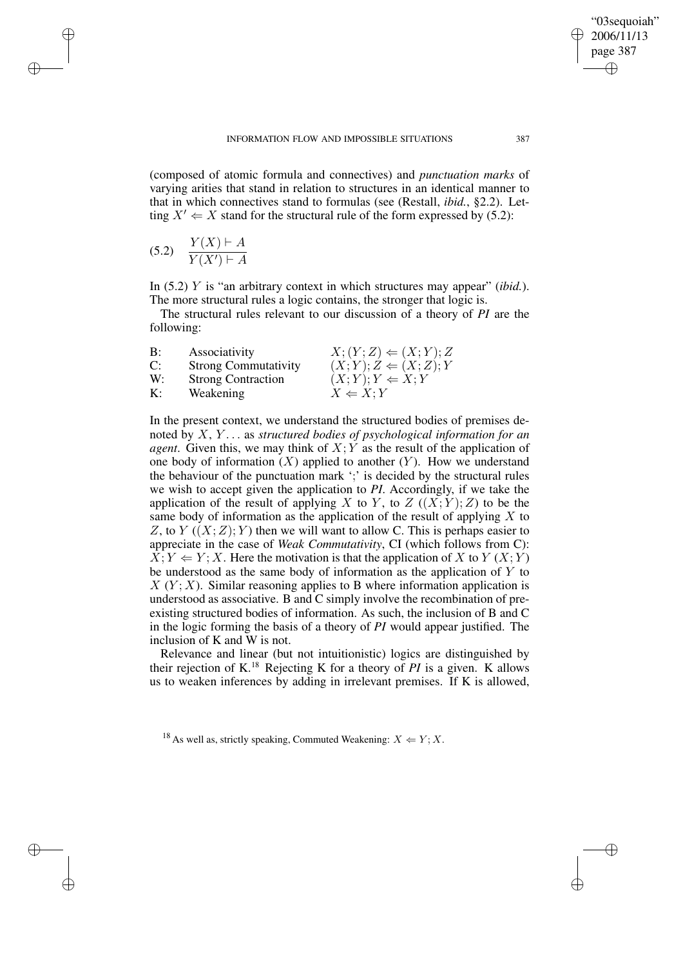(composed of atomic formula and connectives) and *punctuation marks* of varying arities that stand in relation to structures in an identical manner to that in which connectives stand to formulas (see (Restall, *ibid.*, §2.2). Letting  $X' \leftarrow X$  stand for the structural rule of the form expressed by (5.2):

$$
(5.2) \quad \frac{Y(X) \vdash A}{Y(X') \vdash A}
$$

✐

✐

✐

✐

In (5.2) Y is "an arbitrary context in which structures may appear" (*ibid.*). The more structural rules a logic contains, the stronger that logic is.

The structural rules relevant to our discussion of a theory of *PI* are the following:

| B: | Associativity               | $X; (Y; Z) \leftarrow (X; Y); Z$ |
|----|-----------------------------|----------------------------------|
| C: | <b>Strong Commutativity</b> | $(X; Y); Z \Leftarrow (X; Z); Y$ |
| W: | <b>Strong Contraction</b>   | $(X;Y); Y \Leftarrow X; Y$       |
| К: | Weakening                   | $X \Leftarrow X; Y$              |

In the present context, we understand the structured bodies of premises denoted by X, Y . . . as *structured bodies of psychological information for an agent*. Given this, we may think of  $X:Y$  as the result of the application of one body of information  $(X)$  applied to another  $(Y)$ . How we understand the behaviour of the punctuation mark ';' is decided by the structural rules we wish to accept given the application to *PI*. Accordingly, if we take the application of the result of applying X to Y, to Z  $((X; Y); Z)$  to be the same body of information as the application of the result of applying  $X$  to Z, to Y  $((X;Z); Y)$  then we will want to allow C. This is perhaps easier to appreciate in the case of *Weak Commutativity*, CI (which follows from C):  $\hat{X}$ ;  $Y \Leftarrow Y$ ; X. Here the motivation is that the application of X to Y (X; Y) be understood as the same body of information as the application of  $Y$  to  $X(Y; X)$ . Similar reasoning applies to B where information application is understood as associative. B and C simply involve the recombination of preexisting structured bodies of information. As such, the inclusion of B and C in the logic forming the basis of a theory of *PI* would appear justified. The inclusion of K and W is not.

Relevance and linear (but not intuitionistic) logics are distinguished by their rejection of K.<sup>18</sup> Rejecting K for a theory of *PI* is a given. K allows us to weaken inferences by adding in irrelevant premises. If K is allowed,

<sup>18</sup> As well as, strictly speaking, Commuted Weakening:  $X \leftarrow Y; X$ .

"03sequoiah" 2006/11/13 page 387

✐

✐

✐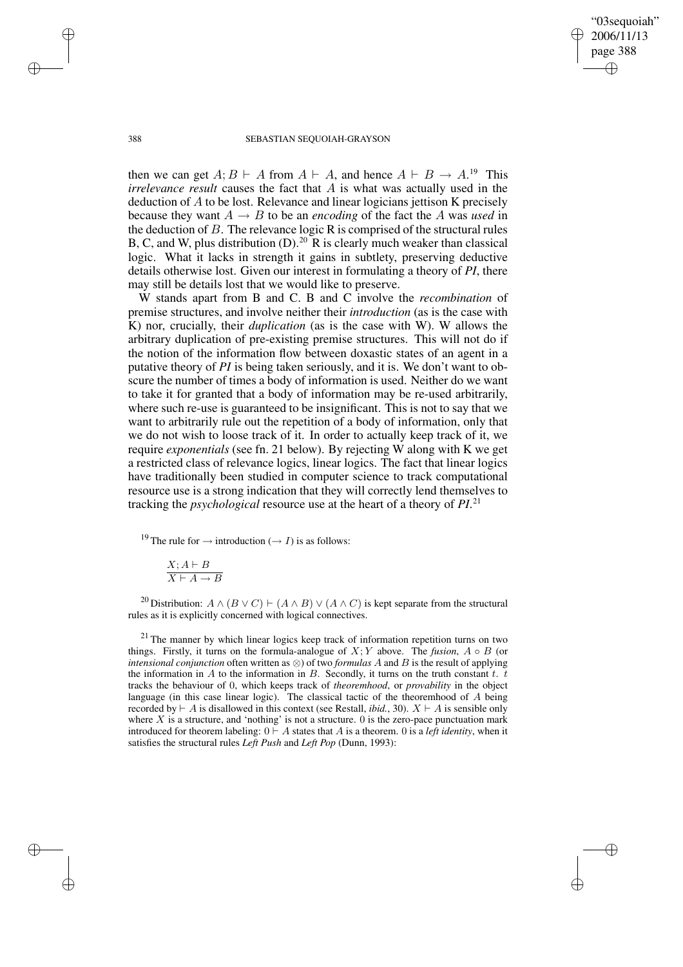"03sequoiah" 2006/11/13 page 388 ✐ ✐

✐

✐

#### 388 SEBASTIAN SEQUOIAH-GRAYSON

then we can get  $A; B \vdash A$  from  $A \vdash A$ , and hence  $A \vdash B \to A$ .<sup>19</sup> This *irrelevance result* causes the fact that A is what was actually used in the deduction of A to be lost. Relevance and linear logicians jettison K precisely because they want  $A \rightarrow B$  to be an *encoding* of the fact the A was *used* in the deduction of  $B$ . The relevance logic R is comprised of the structural rules B, C, and W, plus distribution  $(D)$ .<sup>20</sup> R is clearly much weaker than classical logic. What it lacks in strength it gains in subtlety, preserving deductive details otherwise lost. Given our interest in formulating a theory of *PI*, there may still be details lost that we would like to preserve.

W stands apart from B and C. B and C involve the *recombination* of premise structures, and involve neither their *introduction* (as is the case with K) nor, crucially, their *duplication* (as is the case with W). W allows the arbitrary duplication of pre-existing premise structures. This will not do if the notion of the information flow between doxastic states of an agent in a putative theory of *PI* is being taken seriously, and it is. We don't want to obscure the number of times a body of information is used. Neither do we want to take it for granted that a body of information may be re-used arbitrarily, where such re-use is guaranteed to be insignificant. This is not to say that we want to arbitrarily rule out the repetition of a body of information, only that we do not wish to loose track of it. In order to actually keep track of it, we require *exponentials* (see fn. 21 below). By rejecting W along with K we get a restricted class of relevance logics, linear logics. The fact that linear logics have traditionally been studied in computer science to track computational resource use is a strong indication that they will correctly lend themselves to tracking the *psychological* resource use at the heart of a theory of *PI*. 21

<sup>19</sup> The rule for  $\rightarrow$  introduction ( $\rightarrow$  *I*) is as follows:

$$
\frac{X; A \vdash B}{X \vdash A \to B}
$$

<sup>20</sup> Distribution:  $A \wedge (B \vee C) \vdash (A \wedge B) \vee (A \wedge C)$  is kept separate from the structural rules as it is explicitly concerned with logical connectives.

 $21$  The manner by which linear logics keep track of information repetition turns on two things. Firstly, it turns on the formula-analogue of  $X; Y$  above. The *fusion*,  $A \circ B$  (or *intensional conjunction* often written as ⊗) of two *formulas* A and B is the result of applying the information in A to the information in B. Secondly, it turns on the truth constant  $t$ .  $t$ tracks the behaviour of 0, which keeps track of *theoremhood*, or *provability* in the object language (in this case linear logic). The classical tactic of the theoremhood of A being recorded by  $\vdash A$  is disallowed in this context (see Restall, *ibid.*, 30).  $X \vdash A$  is sensible only where  $X$  is a structure, and 'nothing' is not a structure. 0 is the zero-pace punctuation mark introduced for theorem labeling:  $0 \vdash A$  states that A is a theorem. 0 is a *left identity*, when it satisfies the structural rules *Left Push* and *Left Pop* (Dunn, 1993):

✐

✐

✐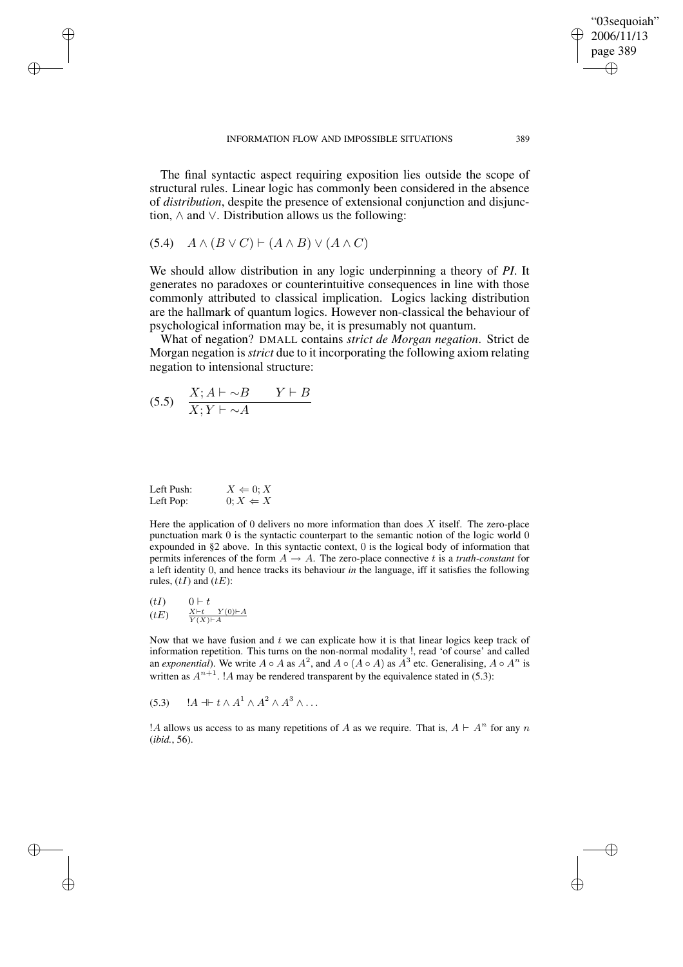The final syntactic aspect requiring exposition lies outside the scope of structural rules. Linear logic has commonly been considered in the absence of *distribution*, despite the presence of extensional conjunction and disjunction, ∧ and ∨. Distribution allows us the following:

$$
(5.4) \quad A \wedge (B \vee C) \vdash (A \wedge B) \vee (A \wedge C)
$$

✐

✐

✐

✐

We should allow distribution in any logic underpinning a theory of *PI*. It generates no paradoxes or counterintuitive consequences in line with those commonly attributed to classical implication. Logics lacking distribution are the hallmark of quantum logics. However non-classical the behaviour of psychological information may be, it is presumably not quantum.

What of negation? DMALL contains *strict de Morgan negation*. Strict de Morgan negation is *strict* due to it incorporating the following axiom relating negation to intensional structure:

$$
(5.5) \quad \frac{X; A \vdash \sim B \qquad Y \vdash B}{X; Y \vdash \sim A}
$$

| Left Push: | $X \Leftarrow 0; X$ |
|------------|---------------------|
| Left Pop:  | $0; X \Leftarrow X$ |

Here the application of 0 delivers no more information than does  $X$  itself. The zero-place punctuation mark 0 is the syntactic counterpart to the semantic notion of the logic world 0 expounded in §2 above. In this syntactic context, 0 is the logical body of information that permits inferences of the form  $A \rightarrow A$ . The zero-place connective t is a *truth-constant* for a left identity 0, and hence tracks its behaviour *in* the language, iff it satisfies the following rules,  $(tI)$  and  $(tE)$ :

$$
\begin{array}{lll} (tI) & & 0 \vdash t \\ (tE) & & \frac{X \vdash t}{Y(X) \vdash A} \end{array}
$$

Now that we have fusion and  $t$  we can explicate how it is that linear logics keep track of information repetition. This turns on the non-normal modality !, read 'of course' and called an *exponential*). We write  $A \circ A$  as  $A^2$ , and  $A \circ (A \circ A)$  as  $A^3$  etc. Generalising,  $A \circ A^n$  is written as  $A^{n+1}$ . ! A may be rendered transparent by the equivalence stated in (5.3):

(5.3)  $A \dashv t \wedge A^1 \wedge A^2 \wedge A^3 \wedge \dots$ 

! A allows us access to as many repetitions of A as we require. That is,  $A \vdash A^n$  for any n (*ibid.*, 56).

"03sequoiah" 2006/11/13 page 389

✐

✐

✐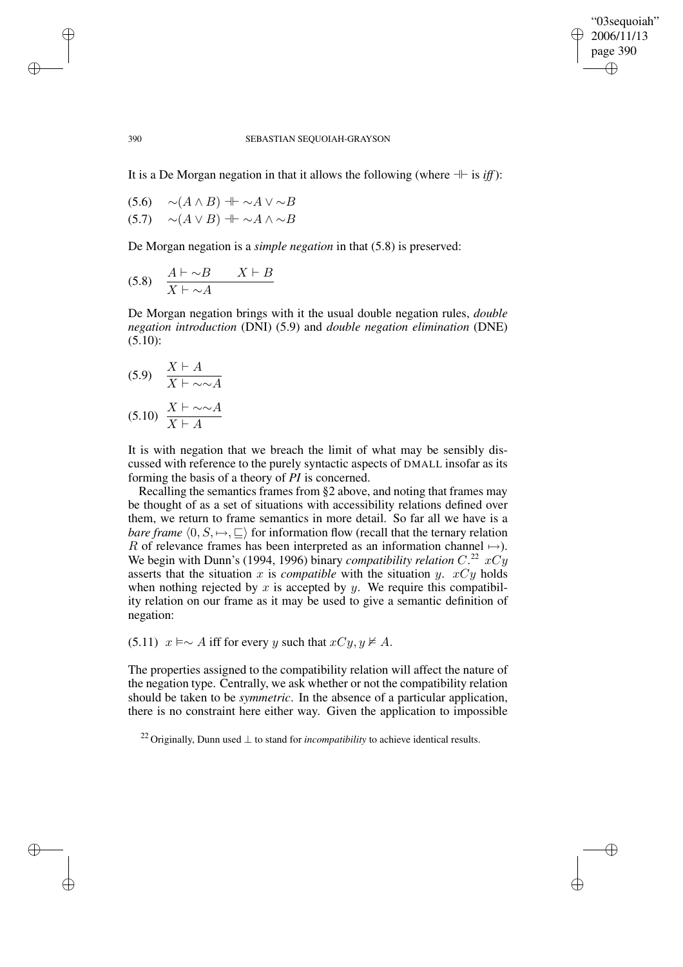✐

✐

### 390 SEBASTIAN SEQUOIAH-GRAYSON

It is a De Morgan negation in that it allows the following (where  $+$  is *iff*):

$$
(5.6) \quad \sim(A \land B) \parallel \sim A \lor \sim B
$$
  

$$
(5.7) \quad \sim(A \lor B) \parallel \sim A \land \sim B
$$

De Morgan negation is a *simple negation* in that (5.8) is preserved:

$$
(5.8) \quad \frac{A \vdash \sim B \qquad X \vdash B}{X \vdash \sim A}
$$

De Morgan negation brings with it the usual double negation rules, *double negation introduction* (DNI) (5.9) and *double negation elimination* (DNE)  $(5.10):$ 

$$
(5.9) \quad \frac{X \vdash A}{X \vdash \sim \sim A}
$$
\n
$$
(5.10) \quad \frac{X \vdash \sim \sim A}{X \vdash A}
$$

It is with negation that we breach the limit of what may be sensibly discussed with reference to the purely syntactic aspects of DMALL insofar as its forming the basis of a theory of *PI* is concerned.

Recalling the semantics frames from §2 above, and noting that frames may be thought of as a set of situations with accessibility relations defined over them, we return to frame semantics in more detail. So far all we have is a *bare frame*  $\langle 0, S, \rightarrow, \sqsubseteq \rangle$  for information flow (recall that the ternary relation R of relevance frames has been interpreted as an information channel  $\mapsto$ ). We begin with Dunn's (1994, 1996) binary *compatibility relation* C.<sup>22</sup>  $xCy$ asserts that the situation x is *compatible* with the situation y.  $xCy$  holds when nothing rejected by  $x$  is accepted by  $y$ . We require this compatibility relation on our frame as it may be used to give a semantic definition of negation:

(5.11)  $x \models \sim A$  iff for every y such that  $xCy, y \not\models A$ .

The properties assigned to the compatibility relation will affect the nature of the negation type. Centrally, we ask whether or not the compatibility relation should be taken to be *symmetric*. In the absence of a particular application, there is no constraint here either way. Given the application to impossible

<sup>22</sup> Originally, Dunn used ⊥ to stand for *incompatibility* to achieve identical results.

✐

✐

✐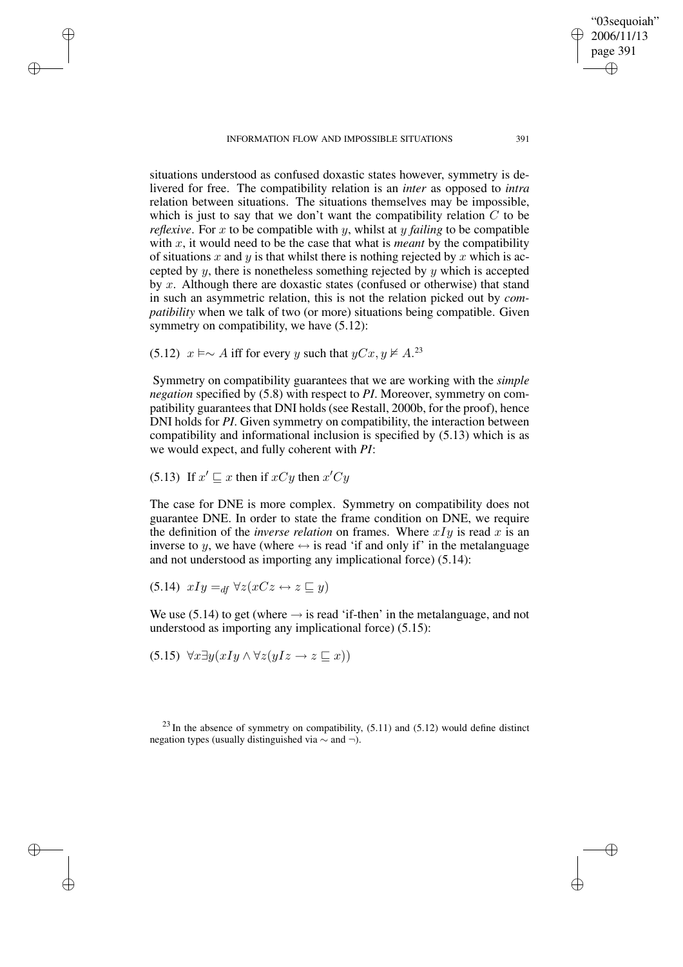INFORMATION FLOW AND IMPOSSIBLE SITUATIONS 391

situations understood as confused doxastic states however, symmetry is delivered for free. The compatibility relation is an *inter* as opposed to *intra* relation between situations. The situations themselves may be impossible, which is just to say that we don't want the compatibility relation  $C$  to be *reflexive*. For x to be compatible with y, whilst at y *failing* to be compatible with x, it would need to be the case that what is *meant* by the compatibility of situations x and y is that whilst there is nothing rejected by x which is accepted by  $y$ , there is nonetheless something rejected by  $y$  which is accepted by x. Although there are doxastic states (confused or otherwise) that stand in such an asymmetric relation, this is not the relation picked out by *compatibility* when we talk of two (or more) situations being compatible. Given symmetry on compatibility, we have  $(5.12)$ :

(5.12)  $x \models \sim A$  iff for every y such that  $yCx, y \not\models A$ .<sup>23</sup>

Symmetry on compatibility guarantees that we are working with the *simple negation* specified by (5.8) with respect to *PI*. Moreover, symmetry on compatibility guarantees that DNI holds(see Restall, 2000b, for the proof), hence DNI holds for *PI*. Given symmetry on compatibility, the interaction between compatibility and informational inclusion is specified by (5.13) which is as we would expect, and fully coherent with *PI*:

(5.13) If  $x' \sqsubseteq x$  then if  $xCy$  then  $x'Cy$ 

✐

✐

✐

✐

The case for DNE is more complex. Symmetry on compatibility does not guarantee DNE. In order to state the frame condition on DNE, we require the definition of the *inverse relation* on frames. Where  $xIy$  is read x is an inverse to y, we have (where  $\leftrightarrow$  is read 'if and only if' in the metalanguage and not understood as importing any implicational force) (5.14):

$$
(5.14) xIy =_{df} \forall z (xCz \leftrightarrow z \sqsubseteq y)
$$

We use (5.14) to get (where  $\rightarrow$  is read 'if-then' in the metalanguage, and not understood as importing any implicational force) (5.15):

 $(5.15)$   $\forall x \exists y (x \exists y \land \forall z (y \exists z \rightarrow z \sqsubseteq x))$ 

 $23$  In the absence of symmetry on compatibility,  $(5.11)$  and  $(5.12)$  would define distinct negation types (usually distinguished via ∼ and ¬).

"03sequoiah" 2006/11/13 page 391

✐

✐

✐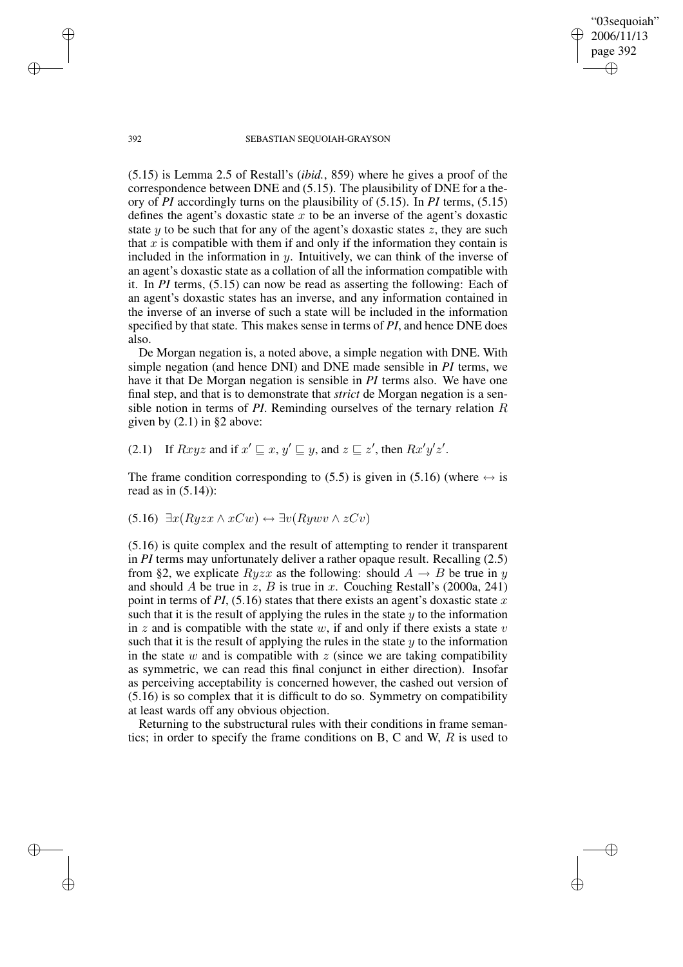392 SEBASTIAN SEQUOIAH-GRAYSON

"03sequoiah" 2006/11/13 page 392

✐

✐

✐

✐

(5.15) is Lemma 2.5 of Restall's (*ibid.*, 859) where he gives a proof of the correspondence between DNE and (5.15). The plausibility of DNE for a theory of *PI* accordingly turns on the plausibility of (5.15). In *PI* terms, (5.15) defines the agent's doxastic state x to be an inverse of the agent's doxastic state  $y$  to be such that for any of the agent's doxastic states  $z$ , they are such that  $x$  is compatible with them if and only if the information they contain is included in the information in  $y$ . Intuitively, we can think of the inverse of an agent's doxastic state as a collation of all the information compatible with it. In *PI* terms, (5.15) can now be read as asserting the following: Each of an agent's doxastic states has an inverse, and any information contained in the inverse of an inverse of such a state will be included in the information specified by that state. This makes sense in terms of *PI*, and hence DNE does also.

De Morgan negation is, a noted above, a simple negation with DNE. With simple negation (and hence DNI) and DNE made sensible in *PI* terms, we have it that De Morgan negation is sensible in *PI* terms also. We have one final step, and that is to demonstrate that *strict* de Morgan negation is a sensible notion in terms of *PI*. Reminding ourselves of the ternary relation R given by (2.1) in §2 above:

(2.1) If  $Rxyz$  and if  $x' \sqsubseteq x$ ,  $y' \sqsubseteq y$ , and  $z \sqsubseteq z'$ , then  $Rx'y'z'$ .

The frame condition corresponding to (5.5) is given in (5.16) (where  $\leftrightarrow$  is read as in  $(5.14)$ :

$$
(5.16) \ \exists x (Ryzx \land xCw) \leftrightarrow \exists v (Rywv \land zCv)
$$

(5.16) is quite complex and the result of attempting to render it transparent in *PI* terms may unfortunately deliver a rather opaque result. Recalling (2.5) from §2, we explicate  $Ryzx$  as the following: should  $A \rightarrow B$  be true in y and should A be true in z, B is true in x. Couching Restall's (2000a, 241) point in terms of  $PI$ , (5.16) states that there exists an agent's doxastic state  $x$ such that it is the result of applying the rules in the state  $y$  to the information in z and is compatible with the state w, if and only if there exists a state v such that it is the result of applying the rules in the state  $y$  to the information in the state  $w$  and is compatible with  $z$  (since we are taking compatibility as symmetric, we can read this final conjunct in either direction). Insofar as perceiving acceptability is concerned however, the cashed out version of (5.16) is so complex that it is difficult to do so. Symmetry on compatibility at least wards off any obvious objection.

Returning to the substructural rules with their conditions in frame semantics; in order to specify the frame conditions on B, C and W,  $R$  is used to

✐

✐

✐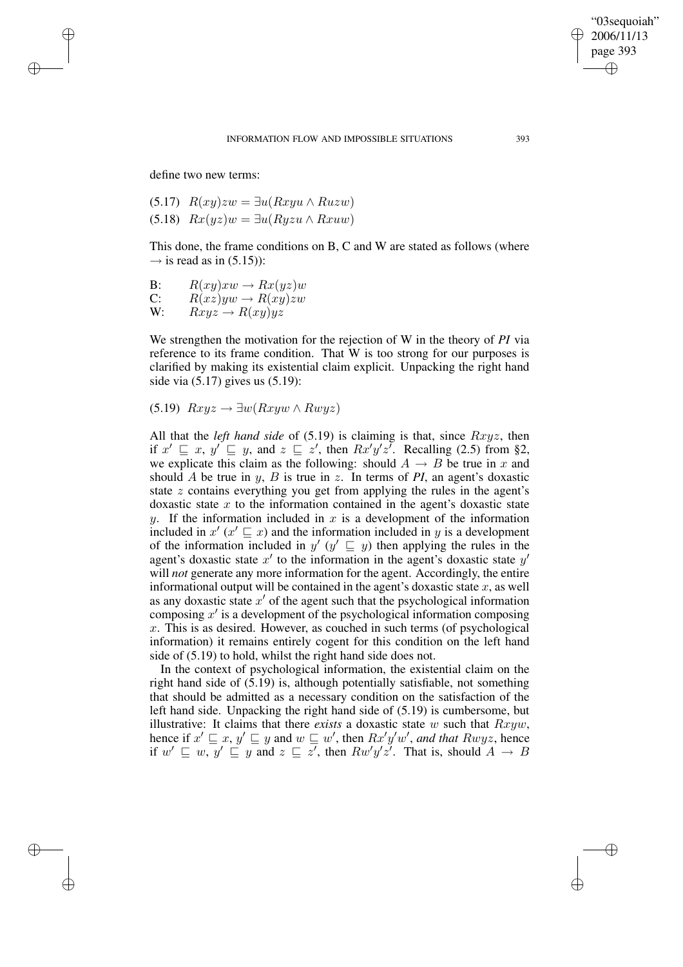✐

✐

define two new terms:

✐

✐

✐

✐

(5.17) 
$$
R(xy)zw = \exists u(Rxyu \land Ruzw)
$$
  
(5.18)  $Rx(yz)w = \exists u(Ryzu \land Rxuw)$ 

This done, the frame conditions on B, C and W are stated as follows (where  $\rightarrow$  is read as in (5.15)):

B: 
$$
R(xy) xw \rightarrow Rx(yz)w
$$

C: 
$$
R(xz)yw \rightarrow R(xy)zw
$$

W:  $Rxyz \rightarrow R(xy)yz$ 

We strengthen the motivation for the rejection of W in the theory of *PI* via reference to its frame condition. That W is too strong for our purposes is clarified by making its existential claim explicit. Unpacking the right hand side via (5.17) gives us (5.19):

(5.19)  $Rxyz \rightarrow \exists w(Rxyw \land Rwyz)$ 

All that the *left hand side* of (5.19) is claiming is that, since Rxyz, then if  $x' \sqsubseteq x$ ,  $y' \sqsubseteq y$ , and  $z \sqsubseteq z'$ , then  $Rx'y'z'$ . Recalling (2.5) from §2, we explicate this claim as the following: should  $A \rightarrow B$  be true in x and should A be true in y, B is true in z. In terms of *PI*, an agent's doxastic state z contains everything you get from applying the rules in the agent's doxastic state  $x$  to the information contained in the agent's doxastic state y. If the information included in x is a development of the information included in  $x'$  ( $x' \sqsubseteq x$ ) and the information included in y is a development of the information included in  $y'$  ( $y' \sqsubseteq y$ ) then applying the rules in the agent's doxastic state  $x'$  to the information in the agent's doxastic state  $y'$ will *not* generate any more information for the agent. Accordingly, the entire informational output will be contained in the agent's doxastic state  $x$ , as well as any doxastic state  $x'$  of the agent such that the psychological information composing  $x'$  is a development of the psychological information composing  $x$ . This is as desired. However, as couched in such terms (of psychological information) it remains entirely cogent for this condition on the left hand side of (5.19) to hold, whilst the right hand side does not.

In the context of psychological information, the existential claim on the right hand side of (5.19) is, although potentially satisfiable, not something that should be admitted as a necessary condition on the satisfaction of the left hand side. Unpacking the right hand side of (5.19) is cumbersome, but illustrative: It claims that there *exists* a doxastic state  $w$  such that  $Rxyw$ , hence if  $x' \sqsubseteq x$ ,  $y' \sqsubseteq y$  and  $w \sqsubseteq w'$ , then  $Rx'y'w'$ , and that  $Rwyz$ , hence if  $w' \sqsubseteq w$ ,  $y' \sqsubseteq y$  and  $z \sqsubseteq z'$ , then  $Rw'y'z'$ . That is, should  $A \rightarrow B$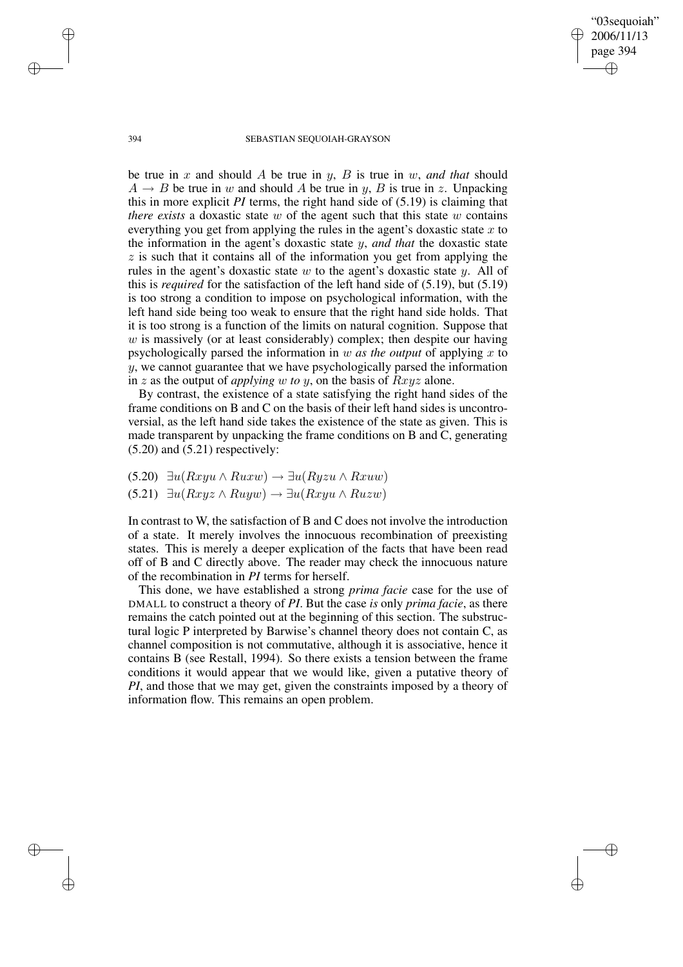"03sequoiah" 2006/11/13 page 394 ✐ ✐

✐

✐

#### 394 SEBASTIAN SEQUOIAH-GRAYSON

be true in x and should A be true in y, B is true in w, and that should  $A \rightarrow B$  be true in w and should A be true in y, B is true in z. Unpacking this in more explicit *PI* terms, the right hand side of (5.19) is claiming that *there exists* a doxastic state w of the agent such that this state w contains everything you get from applying the rules in the agent's doxastic state  $x$  to the information in the agent's doxastic state y, *and that* the doxastic state  $z$  is such that it contains all of the information you get from applying the rules in the agent's doxastic state w to the agent's doxastic state  $y$ . All of this is *required* for the satisfaction of the left hand side of (5.19), but (5.19) is too strong a condition to impose on psychological information, with the left hand side being too weak to ensure that the right hand side holds. That it is too strong is a function of the limits on natural cognition. Suppose that  $w$  is massively (or at least considerably) complex; then despite our having psychologically parsed the information in w *as the output* of applying x to y, we cannot guarantee that we have psychologically parsed the information in z as the output of *applying* w *to* y, on the basis of Rxyz alone.

By contrast, the existence of a state satisfying the right hand sides of the frame conditions on B and C on the basis of their left hand sides is uncontroversial, as the left hand side takes the existence of the state as given. This is made transparent by unpacking the frame conditions on B and C, generating  $(5.20)$  and  $(5.21)$  respectively:

(5.20) ∃u(Rxyu ∧ Ruxw) → ∃u(Ryzu ∧ Rxuw) (5.21)  $\exists u(Rxyz \land Ruyw) \rightarrow \exists u(Rxyu \land Ruzw)$ 

In contrast to W, the satisfaction of B and C does not involve the introduction of a state. It merely involves the innocuous recombination of preexisting states. This is merely a deeper explication of the facts that have been read off of B and C directly above. The reader may check the innocuous nature of the recombination in *PI* terms for herself.

This done, we have established a strong *prima facie* case for the use of DMALL to construct a theory of *PI*. But the case *is* only *prima facie*, as there remains the catch pointed out at the beginning of this section. The substructural logic P interpreted by Barwise's channel theory does not contain C, as channel composition is not commutative, although it is associative, hence it contains B (see Restall, 1994). So there exists a tension between the frame conditions it would appear that we would like, given a putative theory of *PI*, and those that we may get, given the constraints imposed by a theory of information flow. This remains an open problem.

✐

✐

✐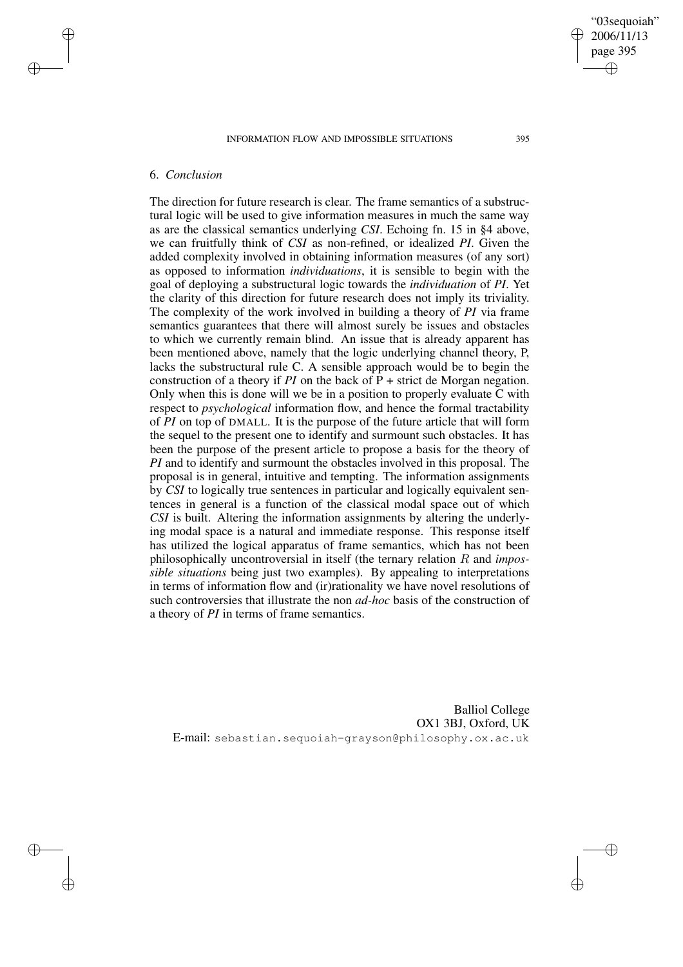INFORMATION FLOW AND IMPOSSIBLE SITUATIONS 395

# 6. *Conclusion*

✐

✐

✐

✐

The direction for future research is clear. The frame semantics of a substructural logic will be used to give information measures in much the same way as are the classical semantics underlying *CSI*. Echoing fn. 15 in §4 above, we can fruitfully think of *CSI* as non-refined, or idealized *PI*. Given the added complexity involved in obtaining information measures (of any sort) as opposed to information *individuations*, it is sensible to begin with the goal of deploying a substructural logic towards the *individuation* of *PI*. Yet the clarity of this direction for future research does not imply its triviality. The complexity of the work involved in building a theory of *PI* via frame semantics guarantees that there will almost surely be issues and obstacles to which we currently remain blind. An issue that is already apparent has been mentioned above, namely that the logic underlying channel theory, P, lacks the substructural rule C. A sensible approach would be to begin the construction of a theory if *PI* on the back of  $P$  + strict de Morgan negation. Only when this is done will we be in a position to properly evaluate C with respect to *psychological* information flow, and hence the formal tractability of *PI* on top of DMALL. It is the purpose of the future article that will form the sequel to the present one to identify and surmount such obstacles. It has been the purpose of the present article to propose a basis for the theory of *PI* and to identify and surmount the obstacles involved in this proposal. The proposal is in general, intuitive and tempting. The information assignments by *CSI* to logically true sentences in particular and logically equivalent sentences in general is a function of the classical modal space out of which *CSI* is built. Altering the information assignments by altering the underlying modal space is a natural and immediate response. This response itself has utilized the logical apparatus of frame semantics, which has not been philosophically uncontroversial in itself (the ternary relation R and *impossible situations* being just two examples). By appealing to interpretations in terms of information flow and (ir)rationality we have novel resolutions of such controversies that illustrate the non *ad-hoc* basis of the construction of a theory of *PI* in terms of frame semantics.

Balliol College OX1 3BJ, Oxford, UK E-mail: sebastian.sequoiah-grayson@philosophy.ox.ac.uk

"03sequoiah" 2006/11/13 page 395

✐

✐

✐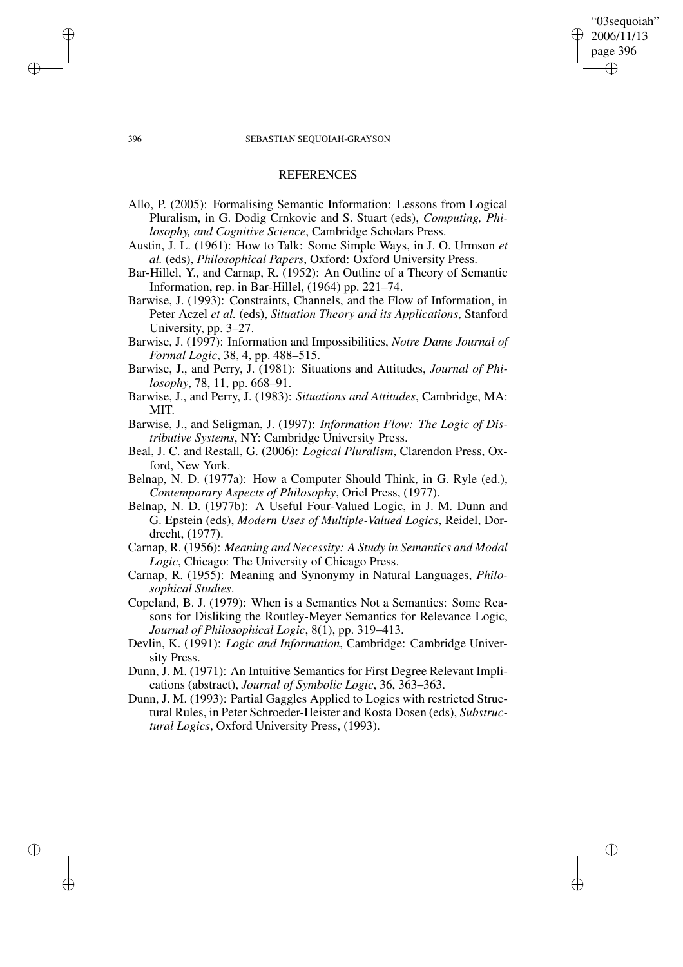#### 396 SEBASTIAN SEQUOIAH-GRAYSON

"03sequoiah" 2006/11/13 page 396

✐

✐

✐

✐

# **REFERENCES**

- Allo, P. (2005): Formalising Semantic Information: Lessons from Logical Pluralism, in G. Dodig Crnkovic and S. Stuart (eds), *Computing, Philosophy, and Cognitive Science*, Cambridge Scholars Press.
- Austin, J. L. (1961): How to Talk: Some Simple Ways, in J. O. Urmson *et al.* (eds), *Philosophical Papers*, Oxford: Oxford University Press.
- Bar-Hillel, Y., and Carnap, R. (1952): An Outline of a Theory of Semantic Information, rep. in Bar-Hillel, (1964) pp. 221–74.
- Barwise, J. (1993): Constraints, Channels, and the Flow of Information, in Peter Aczel *et al.* (eds), *Situation Theory and its Applications*, Stanford University, pp. 3–27.
- Barwise, J. (1997): Information and Impossibilities, *Notre Dame Journal of Formal Logic*, 38, 4, pp. 488–515.
- Barwise, J., and Perry, J. (1981): Situations and Attitudes, *Journal of Philosophy*, 78, 11, pp. 668–91.
- Barwise, J., and Perry, J. (1983): *Situations and Attitudes*, Cambridge, MA: MIT.
- Barwise, J., and Seligman, J. (1997): *Information Flow: The Logic of Distributive Systems*, NY: Cambridge University Press.
- Beal, J. C. and Restall, G. (2006): *Logical Pluralism*, Clarendon Press, Oxford, New York.
- Belnap, N. D. (1977a): How a Computer Should Think, in G. Ryle (ed.), *Contemporary Aspects of Philosophy*, Oriel Press, (1977).
- Belnap, N. D. (1977b): A Useful Four-Valued Logic, in J. M. Dunn and G. Epstein (eds), *Modern Uses of Multiple-Valued Logics*, Reidel, Dordrecht, (1977).
- Carnap, R. (1956): *Meaning and Necessity: A Study in Semantics and Modal Logic*, Chicago: The University of Chicago Press.
- Carnap, R. (1955): Meaning and Synonymy in Natural Languages, *Philosophical Studies*.
- Copeland, B. J. (1979): When is a Semantics Not a Semantics: Some Reasons for Disliking the Routley-Meyer Semantics for Relevance Logic, *Journal of Philosophical Logic*, 8(1), pp. 319–413.
- Devlin, K. (1991): *Logic and Information*, Cambridge: Cambridge University Press.
- Dunn, J. M. (1971): An Intuitive Semantics for First Degree Relevant Implications (abstract), *Journal of Symbolic Logic*, 36, 363–363.
- Dunn, J. M. (1993): Partial Gaggles Applied to Logics with restricted Structural Rules, in Peter Schroeder-Heister and Kosta Dosen (eds), *Substructural Logics*, Oxford University Press, (1993).

✐

✐

✐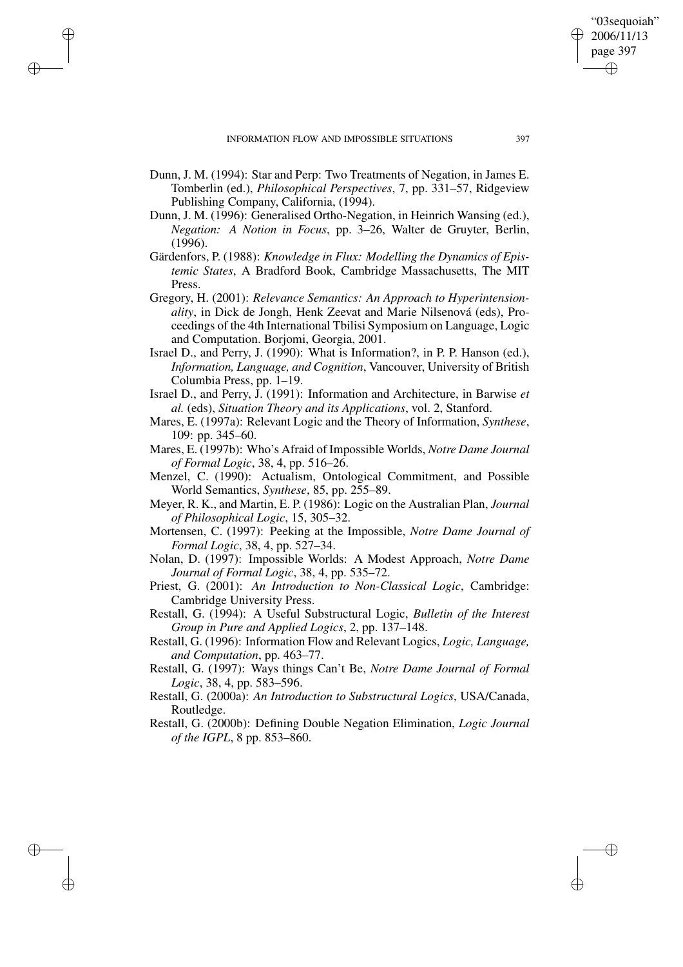✐

✐

✐

✐

- Dunn, J. M. (1994): Star and Perp: Two Treatments of Negation, in James E. Tomberlin (ed.), *Philosophical Perspectives*, 7, pp. 331–57, Ridgeview Publishing Company, California, (1994).
- Dunn, J. M. (1996): Generalised Ortho-Negation, in Heinrich Wansing (ed.), *Negation: A Notion in Focus*, pp. 3–26, Walter de Gruyter, Berlin, (1996).
- Gärdenfors, P. (1988): *Knowledge in Flux: Modelling the Dynamics of Epistemic States*, A Bradford Book, Cambridge Massachusetts, The MIT Press.
- Gregory, H. (2001): *Relevance Semantics: An Approach to Hyperintensionality*, in Dick de Jongh, Henk Zeevat and Marie Nilsenová (eds), Proceedings of the 4th International Tbilisi Symposium on Language, Logic and Computation. Borjomi, Georgia, 2001.
- Israel D., and Perry, J. (1990): What is Information?, in P. P. Hanson (ed.), *Information, Language, and Cognition*, Vancouver, University of British Columbia Press, pp. 1–19.
- Israel D., and Perry, J. (1991): Information and Architecture, in Barwise *et al.* (eds), *Situation Theory and its Applications*, vol. 2, Stanford.
- Mares, E. (1997a): Relevant Logic and the Theory of Information, *Synthese*, 109: pp. 345–60.
- Mares, E. (1997b): Who's Afraid of Impossible Worlds, *Notre Dame Journal of Formal Logic*, 38, 4, pp. 516–26.
- Menzel, C. (1990): Actualism, Ontological Commitment, and Possible World Semantics, *Synthese*, 85, pp. 255–89.
- Meyer, R. K., and Martin, E. P. (1986): Logic on the Australian Plan, *Journal of Philosophical Logic*, 15, 305–32.
- Mortensen, C. (1997): Peeking at the Impossible, *Notre Dame Journal of Formal Logic*, 38, 4, pp. 527–34.
- Nolan, D. (1997): Impossible Worlds: A Modest Approach, *Notre Dame Journal of Formal Logic*, 38, 4, pp. 535–72.
- Priest, G. (2001): *An Introduction to Non-Classical Logic*, Cambridge: Cambridge University Press.
- Restall, G. (1994): A Useful Substructural Logic, *Bulletin of the Interest Group in Pure and Applied Logics*, 2, pp. 137–148.
- Restall, G. (1996): Information Flow and Relevant Logics, *Logic, Language, and Computation*, pp. 463–77.
- Restall, G. (1997): Ways things Can't Be, *Notre Dame Journal of Formal Logic*, 38, 4, pp. 583–596.
- Restall, G. (2000a): *An Introduction to Substructural Logics*, USA/Canada, Routledge.
- Restall, G. (2000b): Defining Double Negation Elimination, *Logic Journal of the IGPL*, 8 pp. 853–860.

"03sequoiah" 2006/11/13 page 397

✐

✐

✐